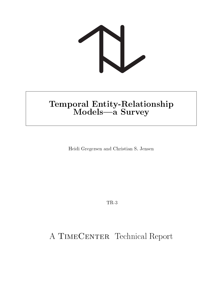

## Temporal Entity Relationship Relationship Control and the control of the control of the control of the control of the control of the control of the control of the control of the control of the control of the control of the models surveyed and the survey of the survey of the survey of the survey of the survey of the survey of the survey of the survey of the survey of the survey of the survey of the survey of the survey of the survey of the su

Heidi Gregersen and Christian S Jensen

TR-

# A TIMECENTER Technical Report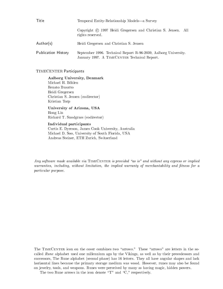| Title                      | Temporal Entity-Relationship Models—a Survey                                                                    |
|----------------------------|-----------------------------------------------------------------------------------------------------------------|
|                            | Copyright © 1997 Heidi Gregersen and Christian S. Jensen. All<br>rights reserved.                               |
| Author(s)                  | Heidi Gregersen and Christian S. Jensen                                                                         |
| <b>Publication History</b> | September 1996. Technical Report R-96-2039, Aalborg University.<br>January 1997. A TIMECENTER Technical Report. |

a time center that the content and the position

### TIMECENTER Participants

## Aalborg University, Denmark Michael H. Böhlen Renato Busatto Heidi Gregersen Christian S. Jensen (codirector) Kristian Torp

University of Arizona, USA Hong Lin Richard T. Snodgrass (codirector)

#### Individual participants

curtis E dyreson, comment cook contractly remember to Michael D Soo University of South Florida USA Andreas Steiner ETH Zurich Switzerland

January -

Any software made available via  $\Gamma$ IMECENTER is provided "as is" and without any express or implied warranties, chickensing, without himitation, the implied warranty of merchantability enter ferror for an particular purpose

The TIMECENTER icon on the cover combines two "arrows." These "arrows" are letters in the socalled Rune alphabet used one millennium ago by the Vikings as well as by their precedessors and successors The Rune alphabet second phase
 has - letters They all have angular shapes and lack horizontal lines because the primary storage medium was wood However runes may also be found on jewelry to the power were perceived by many perceived by maning mattern powers as having many assumed by ma

The two Rune arrows in the icon denote T and C respectively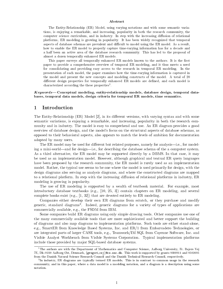The EntityRelationship ER- Model using varying notations and with some semantic varia tions, is enjoying a remarkable, and increasing, popularity in both the research community, the computer science curriculum, and in industry. In step with the increasing diffusion of relational platforms ER modeling is growing in popularity It has been widely recognized that temporal aspects of database schemas are prevalent and difficult to model using the ER model. As a result, how to enable the ER model to properly capture time-varying information has for a decade and a half been an active area of the database research community This has led to the proposal of almost a dozen temporally enhanced ER models

This paper surveys all temporally enhanced ER models known to the authors. It is the first paper to provide a comprehensive overview of temporal ER modeling, and it thus meets a need for consolidating and providing easy access to the research in temporal ER modeling. In the presentation of each model, the paper examines how the time-varying information is captured in the model and present the new concepts and modeling constructs of the model. A total of 20 different design properties for temporally enhanced ER models are defined, and each model is characterized according the these properties

#### Keywords Conceptual modeling entity-relationship models database design temporal databases, temporal data models, design criteria for temporal ER models, time semantics.

#### $\mathbf{1}$ Introduction

the Entity Relationship (ER) and with ER the versions constraint constraint versions and with some constr semants variations, is enjoying a remarkable component completely popularity in both the research component com munity and in industry. The model is easy to comprehend and use. An ER diagram provides a good over the models focus on the structural aspects on the structure of database structure structure structural asp opposed to their behavioral aspects of a property when the possessed of an ambition for a match the levels of a adopted by many users

. The Er model may be used for different but relatively purposes the model purposes  $\mathcal{L}$  and the model of  $\mathcal{L}$ ing a miniworldand for designies and database systematic the database systematic systematic systematic as a third alternative of the ER model may be a deployed directly by a Extend directly by a DBMS In that  $\mathcal{S}$ be used as an implementation model However textual ER query languages in textual ER query languages have been proposed by the research community the ER model is rarely used asan implementation model rather the typical use seems to be one with the model is used to the model  $\mu$  and the model is used the model design diagrams also serving as analysis diagrams and where the constructed diagrams are mapped and where  $\alpha$ to a relational platform. In step with the increasing diffusion of relational platforms in industry, ER modeling is growing in popularity

The use of ER modeling is supported by a wealth of textbook material For example most introductory distribution that the property and self-contained the property and modelling the several contains complete books exist (equipment are devoted entirely to modeling).

Companies either develop their own ER diagrams from scratch or they purchase and modify generic, standard diagrams . Indeed, generic diagrams for a variety of types of applications are commercially available to give the FSDM from IBM from IBM from IBM from IBM from IBM from IBM from IBM from IBM from IBM from IBM from IBM from IBM from IBM from IBM from IBM from IBM from IBM from IBM from IBM from IBM fr

Some companies build ER diagrams using only simple drawing tools. Other companies use one of the many commercially available tools that are more sophisticated and better support the building of diagrams and also map diagrams to implementation platforms. Such tools are either stand-alone, ega som Embarcadero Technologies Based Systems, Theodoric Technologies Based Systems in the Systems of the Systems are integrated parts of larger Cartier Cayenne Software Square Square Software Software, which are the software Visible Analyst Workbench from Visible Systems Corporation Typical implementation platforms include those provided by major SQL-based database systems.

<sup>&</sup>lt;sup>1</sup>The authors are with the Department of Mathematics and Computer Science, Aalborg University, Fr. Bajers Vej 7E, Dk–9220 Aalborg Øst, Denmark, {gregori,csj}Ccs.auc.dk. This work is supported by grants 9400911 and 9502695 from the Danish Natural Science Research Council and the Danish Technical Research Council, respectively.

In industry ER diagrams are typically termed ER models This is in contrast to common usage in the research community, and in this paper, where a data model is a modeling notation, and a diagram is a description using some notation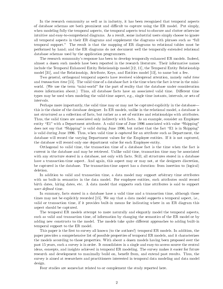In the research community as well as in industry it has been recognized that temporal aspects of database schemas are both prominent and difficult to capture using the ER model. Put simply, when modeling fully the temporal aspects the temporal aspects temporal aspects tend to obscure and clutter oth intuitive and easytocomprehend diagrams As a result some industrial users simply choose to ignore all temporal aspects in their ER diagrams and supplement the diagrams with phrases such as "full temporal support." The result is that the mapping of ER diagrams to relational tables must be performed by hand; and the ER diagrams do not document well the temporally extended relational database schemas used by the application programmers

The research community's response has been to develop temporally enhanced ER models. Indeed. almost a dozen such models have been reported in the research literature. Their informative names include the Temporal Entity Relationship model and the Temporal Antonio Entity Relationship and the Temporal E model is the Relationship of the Relationship and Entities model in the Relationship and Entitle and Attribute

Two general orthogonal temporal aspects have received widespread attention namely valid time and transaction time - The valid time of a database fact is the time when the fact is the fact is the minimization of a database fact is the minimization of a database fact is the minimization of a database fact is the min world. (We use the term "mini-world" for the part of reality that the database under consideration stores information about time  $\mathbf{I}_{\text{max}}$ types may be used when modeling the validtime aspect eg single time instants intervals or sets of intervals

Perhaps more importantly the valid time may or may not be captured explicitly in the database this is the choice of the database designer In ER models unlike in the relational model a database is not structured as a collection of facts but rather as a set of entities and relationships with attributes Thus the valid times are associated only indirectly with facts As an example consider an Employee entity E- with a Department attribute A valid time of June - associated with value Shipping does not say that Shipping is valid during  $\mathbf{A}$ is value of the valid time is captured for an attribute such as Department as Department as Department as Department as Department as Department as Department as Department as Department as Department as Department as Depa database will record the varying Department values for the Employee entities If it is not captured the database will record only one department value for each Employee entity

 $\blacksquare$  the transaction time of a database fact is the time of a database fact is the time when the fact is the fact is the fact is the fact is the fact is the fact is the fact is the fact is the fact is the fact is the fa current in the database and may be retrieved Unlike valid time transaction time may be associated with any structure structure stored in a database only with facts Still and Still and Still and Still and Still have a transactiontime aspect And again this aspect may or may not at the designers discretion be captured in the database. The transaction-time aspect has a duration: from insertion to (logical) deletion

In addition to valid and transaction time a data model may support arbitrary time attributes with no builting semantics in the data model  $\mathbb{I}$ birth dates hiring dates etc A data model that supports such time attributes is said to support user-defined time.

In summary facts stored in a database have a valid time and a transaction time although those times may not be explicitly recorded as data model supports a temporal aspect of the supports and the model supports a temporal aspect of the supports and the supports and the supports aspect of the supports and the suppor if it provides builtin means for indicating where indicating where in an ER diagram this second where in an ER diagram this second where in an ER diagram this second where in an ER diagram this second where in an ER diagr aspect should be captured

The temporal ER models attempt to more naturally and elegantly model the temporal aspects such as valid and transaction time  $\mathbf{r}$  information by changing the semantics of the ER model or by changing the ER model or by changing the semantics of the ER model or by changing the ER model or by changing the ER adding new constructs to the model. The models take quite different approaches to adding built-in temporal support to the ER model

This paper is the rst to survey all known to the authors temporal ER models In addition the paper provides a comprehensive list of possible properties of temporal ER models and it characterizes the models according to those properties With about a dozen models having been proposed over the past - years such a survey is in order It consolidates in a single and easytoaccess source the central ideas concepts and insights achieved in temporal ER modeling The survey makes it easier for future research and development to maximally build on benet from and extend past results Thus the survey is aimed at researchers and practitioners interested in temporal data modeling and data model design

Four studies are somewhat related to or complement the study reported here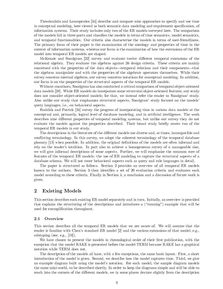Theodoulidis and Loucopoulos [34] describe and compare nine approaches to specify and use time in conceptual modeling here viewed as both semantic data modeling and requirement specication of information systems. Their study includes only two of the ER models surveyed here. The comparison of the models fall in three parts and classies the models in terms of time semantics model semantics and temporal functionalities. Our criteria also characterize the models in terms of user-friendliness. The primary focus of their paper is the examination of the ontology and properties of time in the context of information systems our focus is the examination of the extensions of the extensions of the ERR (ER model into temporal ER models are shaped

McKenzie and Snodgrass  $[22]$  survey and evaluate twelve different temporal extensions of the relational algebra. They evaluate the algebras against 26 design criteria. These criteria are mainly concerned with the properties of the data objects—temporal relations and their components—that the algebras manipulate and with the properties of the algebraic operators themselves While their survey concerns internal algebras internal algebras internal modeling In additions for conceptual modeling In a our focus is on the properties of the structural aspects of the temporal ER models

Without coauthors Snodgrass has also conducted a critical comparison of temporal ob jectoriented data models While ER models do incorporate some structural ob jectoriented features our study does not consider ob jectoriented models for that we instead refer the reader to Snodgrass study Also unlike our study that emphasizes structural aspects structural aspects structural aspects on the models and it is a spectrum of the second contract of the second contract of the second contract of the second contract of the second contract of the second contract of the second contract of the second contract of the second con

Roddick and Patrick [24] survey the progress of incorporating time in various data models at the conceptual and primarily logical level of database modeling and in articial intelligence The work describes nine dierent properties of temporal modeling systems but unlike our survey they do not evaluate the models against the properties described. Their broad study briefly covers two of the temporal ER models in our study

The descriptions in the literature of the dierent models use diverse and at times incompatible and conicting terminology In this survey we adopt the coherent terminology of the temporal database  $\mathbf{u}$  and  $\mathbf{u}$  and  $\mathbf{u}$  and  $\mathbf{u}$  are original and models are often informal and  $\mathbf{u}$ rely on the reader's intuition. In part also to achieve a homogeneous survey of a manageable size. we will give informal descriptions  $\mathbf{F}_{\text{max}}$  as performal descriptions  $\mathbf{F}_{\text{max}}$ features of the temporal ER models: the use of ER modeling to capture the structural aspects of a database schema. We will not cover behavioral aspects such as query and rule languages in detail.

The paper is structured as follows. Section 2 provides an overview of all temporal ER models known to the authors. Section 3 then identifies a set of 20 evaluation criteria and evaluates each model according to the section  $\mathcal{A}$ given

#### $\overline{2}$ Existing Models

This section describes each existing ER model separately and in turn Initially an overview is provided that explains the structuring of the descriptions and introduces a ("running") example that will be used for exemplification throughout.

#### 2.1 **Overview**

This section describes all the temporal ER models that we are aware of. We will assume that the reader is familiar with Chens standard ER model and the various extensions of that model eg subtyping the second contract of the second contract of the second second to the second second to the second t

We have chosen to present the models in chronological order of their rst publication with the exception that the model RAKE is presented before the model TERM because RAKE has a graphical notation while TERM does not

The description of the models all have with a few exceptions the same basic layout First a short introduction of the model is given Secondary Captures time Third  $\mathcal{U}$ an example diagram built using the models notation For each model the sample diagram models the same minimum minimum in order to be diagrams simple and still be able to minimum simple and still be able to reach into the corners of the dierent models we in some places deviate slightly from the description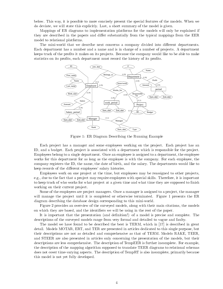below This way it is possible to more concerned present the special features of the models When we were welldo deviate this explicitly Last state this explicitly Last summary of the model is given by the model is given

Mappings of ER diagrams to implementation platforms for the models will only be explained if they are described in the papers and differ substantially from the typical mappings from the EER model to relational platforms

The mini-world that we describe next concerns a company divided into different departments. Each department has a number and a name and is in charge of a number of projects. A department keeps track of the profits it makes on its projects. Because the company would like to be able to make statistics on its prots each department must record the history of its prots



Figure - ER Diagram Describing the Running Example

Each project has a manager and some employees working on the project. Each project has an ID and a budget Each pro ject is associated with a department which is responsible for the pro ject Employees belong to a single department Once an employee is assigned to a department the employee works for this department for as long as the employee is with the employee is with the company For each employee is with the company For each employee is with the company For each employee is with the company For each empl company registers the ID the name the date of birth and the salary The departments would like to keep records of the different employees' salary histories.

Employees work on one pro ject at the time but employees may be reassigned to other pro jects eg due to the fact that a pro ject may require employees with special skills Therefore it is important to keep track of who works for what project at a given time and what time they are supposed to finish working on their current project.

Some of the employees are pro ject managers Once a manager is assigned to a pro ject the manager will manage the problem it is completed or the extension or the ERS and the ERS are the ERS and the ERS and the ERS are the ERS and the ERS are the ERS and the ERS are the ERS and the ERS are the ERS and the ERS are the ER diagram describing the database design corresponding to this mini-world.

Figure provides an overview of the surveyed models along with their main citations the models on which they are based and the identiers we will be using in the rest of the paper

It is important that the presentation (and definition!) of a model is precise and complete. The descriptions of the surveyed models range from very formal and detailed to vague and faulty

The model we have found to be described the best is the best is the best is the best is described in great  $\mathbf{f}(\mathbf{A})$ detail Models MOTAR ERT and TER are presented in articles dedicated to this single purpose but their descriptions are not as detailed and comprehensive as that of TERM Models RAKE TEER and STEER are also presented in articles only concerning the presentation of the models but their descriptions are less comprehensive. The description of TempEER is further incomplete. For example, the description of the mapping algorithm supposed to translate TEER diagrams to relational schemas does not cover the does not primarily because The description of Temperts in also incompletely primarily because this model is not yet fully developed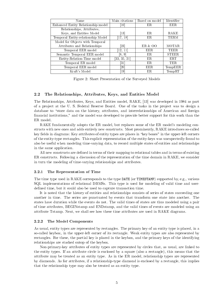| Name                               | Main citations | Based on model | Identifier   |
|------------------------------------|----------------|----------------|--------------|
| Enhanced Entity Relationship model | <b>10</b>      | ER             | <b>EER</b>   |
| Relationships, Attributes,         |                |                |              |
| Keys, and Entities Model           | <sup>13</sup>  | ER.            | <b>RAKE</b>  |
| Temporal Entity-relationship Model | 17, 18         | ER.            | <b>TERM</b>  |
| Model for Objects with Temporal    |                |                |              |
| Attributes and Relationships       | <b>23</b>      | ER & OO        | MOTAR.       |
| Temporal EER model                 | 12, 11         | EER.           | <b>TEER</b>  |
| Semantic Temporal EER model        | 8, 9           | ER             | <b>STEER</b> |
| Entity-Relation-Time model         | [33, 35, 21]   | ER             | ERT          |
| Temporal ER model                  | 31             | ER             | TER.         |
| Temporal EER model                 | [20]           | EER.           | TempEER      |
| Kraft's Model                      | <sup>19</sup>  | ER             | TempRT       |

Figure 2: Short Presentation of the Surveyed Models

### 2.2 The Relationships, Attributes, Keys, and Entities Model

the Relationships and Entity and Entities models models and the second in a second in a second in a part of th of a project at the U.S. Federal Reserve Board. One of the tasks in the project was to design a database to store data on the history with distinct and foreign of the foreign and foreign nancial institutions and the model was developed to provide better support for this work than the ER model

RAKE fundamentally adopts the ER model but replaces some of the ER models modeling con structs with new ones and adds entirely new constructs Most prominently RAKE introduces socalled key fields in diagrams: Key attributes of entity types are places in "key boxes" in the upper-left corners of the entity-type rectangles. This explicit representation of the entity-keys was unexpectedly found to also be useful when modeling times who parallel is recorded multiple states of entities and relationships and in the same application

All new constructs are defined in terms of their mapping to relational tables and in terms of existing ER constructs Following a discussion of the representation of the time domain in RAKE we consider in turn the modeling of time-varying relationships and attributes.

#### The Representation of Time

the time type when in Rating the type in the type Date the theoretical propper that type the complete by the corre SQL implementations of relational DBMSs. This type is used for modeling of valid time and userdened time time time to could also be used to capture the couple time to capture the second time to

It is noted that the history of entities and relationships consists of series of states succeeding one another in time. The series are punctuated by events that transform one state into another. The states have duration while the events do not. The valid times of states are thus modeled using a pair of times attributes and ENDstamp and ENDstamp and ENDstamp, which the valid times of the modeled using and attribute Tstamp Next Stamp Next seems at the used in Rake diagrams are used in Rake diagrams are used in RAKE

#### The Model Components

as are rectangles types are represented by rectangles The primary key of an entity type is placed in the control socialled keyboxe, in the upperleft corner of its rectangle Weak entity types are also represented by rectangles For these is the particle in the perticle in the identifying in the presentifying is the identifying relationships are stacked ontop of the keybox

Nonprimarykey attributes of entity types are represented by circles that as usual are linked to the entity types if an attribute circle is encodered by a square positive is entitled by a rectangle is entitled attribute may be treated asan entity type As in the ER model relationship types are represented  $\alpha$  , diamonds as for attributes at this implies the relationship  $\alpha$  ,  $\beta$  as rectanging the compliants of the complete  $\alpha$ that the relationship type may also be treated as an entity type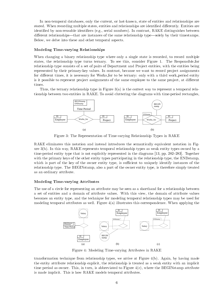an arra comporant databases, and relationships are and relationships and relationships are components and rela stored When recording multiple states entities and relationships are identied dierently Entities are identied by nonreusable identiers eg serial numbers In contrast RAKE distinguishes between different relationships—that are instances of the same relationship type—solely by their timestamps. Below we delve into these and other temporal aspects

#### Modeling Time-varying Relationships

when the changing a binary relationship type where only a single state is recorded to record multiplet states the relationship type turns ternary To see this consider Figure - The Responsible for relationship type consists of a set of pairs of Department and Pro ject entities with the entities being represented by their primary and their medicines we went to record to record program comparisons we want to re for dierent times it is necessary for Works for to be ternary only with <sup>a</sup> third work period entity is it possible to represent project assignments of the same employee to the same project at dimension. times.

the terms that the term is the correct way to represent the correct way to represent water a temporal relation tionship between two entities in RAKE. To avoid cluttering the diagrams with time-period rectangles,



Figure 3: The Representation of Time-varying Relationship Types in RAKE

RAKE eliminates this notation and instead introduces the semantically equivalent notation in Fig was also was asset this way are presented the process assets assets the second by a weak as weak to all the co times priors that is not entity is not explicitly represented in the diagrams -prior pp  $\bullet$  -  $\bullet$  -  $\bullet$  -  $\bullet$ with the primary field in the other entity types participating in the relationship types matches the the which is part of the key of the court theory type, is such the such the problems, the continuous of the court relationship type The BEGINSTAMP is the owner of the owner simply types the owner simply treated to as an ordinary attribute

#### Modeling Time-varying Attributes

The use of a circle for representing an attribute may be seen as a shorthand for a relationship between a set of entities and a domain of attribute values With this view the domain of attribute values becomes an entity type and the technique for modeling temporal relationship types may be used for modeling temporal attributes as well. Figure  $4(a)$  illustrates this correspondence. When applying the



Figure 4: Modeling Time-varying Attributes in RAKE

transformation technique from relationship types, we arrive at Figure at Figures, types and the complements the entity attribute relationship explaintly the relationship is treated as a collect change and implicitely with time period as owner to find the string of this figure is the part of  $\mathbb{F}_q$  , where the BEGINSTAMP attribute is made implicit. This is how RAKE models temporal attributes.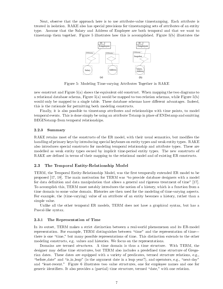Next observe that the approach here is to use attributevalue timestamping Each attribute is treated in isolation RAKE also has special provisions for timestamping sets of attributes of an entity type Assume that the Salary and Address of Employee are both temporal and that we want to timestamp them together. Figure 5 illustrates how this is accomplished. Figure  $5(b)$  illustrates the



Figure 5: Modeling Time-varying Attributes Together in RAKE

new construct and Figure 5(a) shows the equivalent old construct. When mapping the two diagrams to a relation  $\mathbf{r}$  is two relations to two relations  $\mathbf{r}$  and  $\mathbf{r}$ would only be mapped to a single table. These database schemas have different advantages. Indeed this is the rationale for permitting both modeling constructs

Finally it is also possible to timestamp attributes and relationships with time points to model temporal events This is done simply be using an attribute Tstamp in place of ENDstamp and omitting BEGINstamp from temporal relationships

### Summary

RAKE retains most of the constructs of the ER model with their usual semantics but modies the handling of primary keys by introducing special keyboxes on entity types and weak entity types RAKE also introduces special constructs for modeling temporal relationship and attribute types. These are modelled as weak entity types owned by implicit time-period entity types. The new constructs of RAKE are defined in terms of their mapping to the relational model and of existing ER constructs.

#### 2.3 The Temporal Entity-Relationship Model

TERM the Temporal EntityRelationship Model was the rst temporally extended ER model to be proposed - - The main motivation for TERM was to provide database designers with a model for data denition and data manipulation and rigorous treatment of time  $\mathcal{U}$ To accomplish this TERM most notably introduces the notion of a history which is a function from a time domain to some value domain. Histories are then used for the modeling of time-varying aspects.  $\blacksquare$  the comes a  $\blacksquare$  timevary in attribute of an entity becomes a history becomes a history becomes a history becomes a history becomes a history becomes a history becomes a history becomes a history of an entity bec simple value

Unlike all the other temporal ER models TERM does not have a graphical syntax but has a Pascal-like syntax.

#### 2.3.1 The Representation of Time

In its outset TERM makes a strict distinction between a realworld phenomenon and its ERmodel representation For example TERM distinguishes between time and the representation of time there is one time but many possible representations of time This distinction extends to the other modeling constructs eg values and histories We focus on the representations

Domains are termed structures A timedomain is thus a time structure With TERM the designer may dene time structures but TERM also includes a predened time structure of Grego rian dates These dates are equipped with a variety of predicates termed structure relations eg extended the contracting the contraction date in a leap year of the appearance in a leap year operators in a l and leastre figure is the structure two values that the form one for the form one for the form  $\sim$ generic identification is also provided a particle and definition of the structure and relationship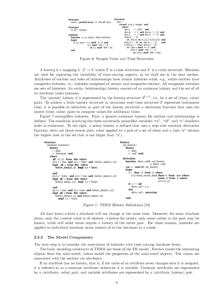

Figure 6: Sample Value and Time Structures

A history is a mapping  $h: T \to V$  where T is a time structure and V is a value structure. Histories are used for capturing the variability of times as  $\mu$  as  $\mu$  as  $\mu$  as  $\mu$  as we shall see in the next section Attributes of entities and roles of relationships have atomic histories while eg entire entities have composite microscopy ieu, microscopy composite entities All composite and composite entities and composite his are sets of histories: An entity (relationship) history consists of an existence history and the set of all its attribute (role) histories.

The (atomic) history h is represented by the history structure  $Z^+$  , i.e., by a set of (time, value) pairs. To achieve a finite history structure in situations were time structure  $T$  represents continuous times, it is possible to introduce as part of the internal structure a derivation function function that uses stored times to compute values for a distinct times for a distinct times and times  $\alpha$ 

Figure exemplies histories First a generic existence history for entities and relationships is density the condition involving the three universally quantized variables s-co-pointed s-conditions s-condition holes in existences To the right a salary history is dened that uses a stepwise constant derivation recented applied to a pair of a set of a set of dates and a date of a set of a set of a set of a set of a set o the largest date in the set that is not larger than "z").

| <b>Structure</b>                                          | <b>Pattern</b>                                  |
|-----------------------------------------------------------|-------------------------------------------------|
| standard existence=<br>history                            | sal history=<br>history                         |
|                                                           |                                                 |
| t:date:                                                   | t:date:                                         |
| $v:$ kleenean end:                                        | $v:$ real end;                                  |
| where                                                     |                                                 |
| all s1, s2 from this where                                | derivation                                      |
| $((s1.v = true and s2.v = false and before date(s1, s2))$ | <b>function</b> deriv_sal(h: sal_history;       |
| impl all s from this where                                | z: date) : real:                                |
| before_date(s2, s) <b>impl</b> $s.v = false$ )            | <b>var</b> x <b>state of</b> sal history;       |
|                                                           | begin                                           |
| and                                                       | $x:=$ that s1 from h where                      |
| $((s1.v = false and s2.v = true and before date(s1, s2))$ | s1.t=least recent date(those tx from date where |
| impl all s from this where                                | exists s2 from h where                          |
|                                                           | $s2.t = tx, z);$                                |
| before $date(s, s1)$ impl $s.v = false$ )                 | if $x \sim \text{nil}$                          |
|                                                           | deriv $sal:= x.v$ ;                             |
| and                                                       |                                                 |
| $((s1.v = true and s2.v = true and before date(s1, s2))$  | else                                            |
| impl all s from this where                                | $deriv$ sal: $=$ <b>uncertain</b>               |
| before_date(s1, s) and before_date(s, s2)                 |                                                 |
| <b>impl</b> $s.v = true$ ;                                | end;                                            |
|                                                           |                                                 |

Figure TERM History Denitions -

 $\mathbf{A}$ items only the current value is of interest whereas for others only some values in the past may be known while still other items require a history of the entire past For these reasons histories are applied to individual database items instead of to the database as a whole

#### 2.3.2 The Model Components

The next step is to consider the association of histories with time-varying database items.

The basic modeling constructs of TERM are those of the ER model. *Entities* model the interesting objects from the mini-world; values model the properties of the mini-world objects. The values are associated with the entities via *attributes*.

if an attribute has no history; that is the value of an attribute never and attribute  $\Delta$  and  $\Delta$  and  $\Delta$ it is referred to as a constant attribute; otherwise it is variable. Constant attributes are represented a pair attributes are represented by a construction of the construction of the represented by a second pair and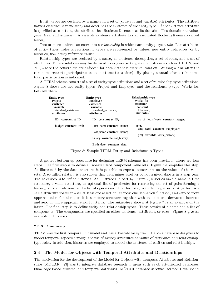Entity types are declared by a name and a set of (constant and variable) attributes. The attribute named existence is mandatory and describes the existence of the entity type. If the existence attribute is specied asconstant the attribute has BooleanKleenean asits domain This domain has values false true and unknown A variable existence attribute has an associated BooleanKleeneanvalued history

Two or more entities can enter into a *relationship* in which each entity plays a *role*. Like attributes of entity types roles of relationship types are represented by values now entity references or by histories and the control of the control of the control of the control of the control of the control of the co

Relationship types are declared by a name an existence description a set of roles and a set of attributes Binary relations may be declared to express participation constraints such as - and - and - and - a N- where the constraints are enforced for each database state in isolation Writing a one after the role name restricts participation to at most one (at a time). By placing a **total** after a role name, total participation is indicated

A TERM schema consists of a set of entity type definitions and a set of relationship type definitions. Figure shows the two entity types Pro ject and Employee and the relationship type Works for between them

| <b>Entity type</b><br>Project<br>existence<br>variable<br>standard existence;<br>attributes | <b>Entity type</b><br>Employee<br>existence<br>variable<br>standard existence;<br><i>attributes</i> | <b>Relationship type</b><br>Works for<br>existence<br>constant<br>kleenean:<br><i>attributes</i> |
|---------------------------------------------------------------------------------------------|-----------------------------------------------------------------------------------------------------|--------------------------------------------------------------------------------------------------|
| constant st ID;<br>ID                                                                       | constant st ID;<br>ID                                                                               | no_of_hours/week constant integer;                                                               |
| budget <b>constant</b> real;                                                                | First name constant name:                                                                           | roles<br>emp total constant Employee;                                                            |
|                                                                                             | Last name constant name;                                                                            | proj <b>variable</b> work history;                                                               |
|                                                                                             | Salary <b>variable</b> sal history;                                                                 |                                                                                                  |
|                                                                                             | Birth date constant date;                                                                           |                                                                                                  |

Figure 8: Sample TERM Entity and Relationship Types

A general bottom-up procedure for designing TERM schemas has been provided. There are four steps. The first step is to define all nonstandard component value sets. Figure 6 exemplifies this step. as industrated by the date structure, it is possible to inperior constraints on the values of the values of th sets. A so-called relation is also shown that determines whether or not a given date is in a leap year. the next step is to denote the contract of the industrial in part by Figure 1, the contract of the contract of structure a value structure an optional list of predicates for restricting the set of pairs forming a history a list of relations and a list of operations The third step is to dene patterns A pattern is a value structure together with at least one assertion at most one derivation function and zero or more approximation functions or it is a history structure together with at most one derivation function  $\mathbf{u}$ and zero or more approximation functions. The *sal\_history* shown at Figure 7 is an example of the latter. The final step is to define entity and relationship types. These consist of a name and a list of components The components are specied as either existence attributes or roles Figure give an example of this step

#### Summary

TERM was the first temporal ER model and has a Pascal-like syntax. It allows database designers to model temporal aspects through the use of history structures as values of attributes and relationship type roles In addition histories are employed to model the existence of entities and relationships

#### $2.4$ The Model for Objects with Temporal Attributes and Relationships

The motivation for the development of the Model for Objects with Temporal Attributes and Relationships (MOTAR) [23] was to integrate database research in areas such as object-oriented databases, knowledgebased systems and temporal databases MOTAR database schemas termed Data Model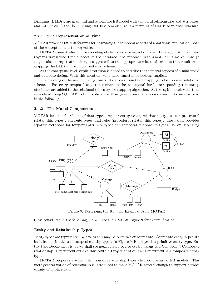Diagrams DMDs are graphical and extend the ER model with temporal relationships and attributes and with rules A tool for building DMDs is provided by provided as is a map  $\mathbb{R}^n$ 

### The Representation of Time

MOTAR provides builtin features for describing the temporal aspects of a database application both at the conceptual and the logical level

MOTAR concentrates on the modeling of the valid-time aspect of data. If the application at hand requires transactiontime support in the database the approach is to simply add time columns a single column registration time is suggested to the appropriate relational schemas that result from mapping the DMD to the implementation schema.

At the conceptual level explicit notation is added to describe the temporal aspects of a miniworld and database dising timestamps become timestamps become implicit timestamps become implicited times

The meaning of the new modeling constructs follows from their mapping to logical-level relational schemas For every temporal aspect described atthe conceptual level corresponding timestamp attributes are added to the relational tables by the mapping algorithm At the logical level validtime is modeled using SQL DATE columns; details will be given when the temporal constructs are discussed in the following

#### The Model Components

MOTAR includes four kinds of data types regular entity types relationship types nonprocedural relationship types attribute types and rules procedural relationship types The model provides separate notations for temporal attribute types and temporal relationship types. When describing



Figure 9: Describing the Running Example Using MOTAR

these constructs in the following in  $\mathbf{f}$  in  $\mathbf{f}$  in  $\mathbf{f}$  is exemplication. In Figure , we will use the DMD in Figure , we will use the DMD in Figure , we will use the DMD in  $\mathbf{f}$ 

#### Entity and Relationship Types

Entity types are represented by circles and may be primitive or composite Composite entity types are built from primitive and composite entity types In Figure Employee is a primitive entity type En tity type Department is as we shall see next related to Pro ject by means of a ComponentComposite relationship Department entities thus contain Pro ject entities and Department is a composite entity type

MOTAR proposes a wider definition of relationship types than do the usual ER models. This more general notion of relationship is introduced to make MOTAR general enough to support a wider variety of applications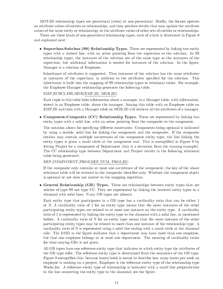. A procedural brief types are procedural process, at the former or non-relation and the former of  $\alpha$ on attribute values of entities or relationships and they produce results that may update the attribute values of the same entity or relationship or relationships of other sets of other sets of entities or relationships or relationships of  $\mathbb{R}^n$ 

There are three kinds of nonprocedural relationship types of which is illustrated in  $\mathbf{f}(\mathbf{a})$ and explained next

• Superclass-Subclass (SS) Relationship Types. These are represented by linking two entity types with a dashed line, with an arrow pointing from the superclass to the subclass In SSS. relationship types the instances of the subclass are of the same type as the instances of the superclass information information information information information is needed for instances of the subclass In Manager is a subclass of Employee

Inheritance of attributes is supported. Thus instances of the subclass has the same attributes as instances of the superclass, in addition to the subclass species of the subclass This species the subcl inheritance is built into the mapping of SS relationship types to relational tables. For example, the Employee-Manager relationship generates the following table.

 $\blacksquare$  . The subsequent is the subsequently interesting the set of  $\blacksquare$ 

 $\mathbf{M}$  this table links information about a manager table links in a manager table links in a manager table links in stored in an Employee table about the manager Joining this table with an Employee table on EMP ID and then with a Manager table on MGR ID will retrieve all the attributes of a manager

 $\bullet$  Component-Composite (CC) Relationship Types. These are represented by linking two entity types with a solid line with an arrow pointing from the composite to the component

The notation allows for specifying different constraints. Components being optional is indicated by using a double solid line for linking the component and the composite If the composite entities may contain multiple occurrences of the component entity type the line linking the entity types is given a small circle at the component end. This is exemplified in Figure 9 by letting Project be a component of Department (this is a deviation from the running example). The CC relationship type between Department and Project results in the following relational table being generated

DEP COMPONENT PROJDEP NUM PROJ ID

If the composite only contains at most one occurrence of the component the key of the above relational table will be reduced to the composite identifier only. Whether the component object is optional or not does not matter to the mapping algorithm

 $\bullet$  General Relationship (GR) Types. These are relationships between entity types that are neither of type SS nor type CC They are represented by linking the involved entity types to a diamond with solid lines. N-ary GR types are allowed.

Each entity type that participates in a GR type has a cardinality ratio that can be either 1 or the the cordinality ratio of - for an entity type means that the same instances of the other that the other participating entity types are related to at most one instance on the entity type A cardinality ratio of - is represented by dimining the entity type to the diamond with a solid line in an anti-the diamond before. A cardinality ratio of N for an entity type means that the same instance of the other participating entity types may be related to more than one instance of the relationship type A cardinality ratio of N is represented using a solid line ending with a small circle at the diamond side. The DMD in the figure indicates that a department may have more than one employee, but that one employee belongs to at most one department. The meaning of cardinality ratios for time-varying GRs is not given.

All GR types have one reference entity type that indicates to which entity type the attributes of the GR type refer. The reference entity type is determined from the semantics of the GR type. Figure 9 exemplifies this: because hours/week is meant to describe how many hours per week an employee is working on a project minimum is the reference entity type of the relationship type of the relationship type of the relationship type of the relationship type of the relationship type of the relationship type of Works for. A reference entity type of relationship is indicated with a small line perpendicular to the line connecting the entity type to the diamond; see the figure.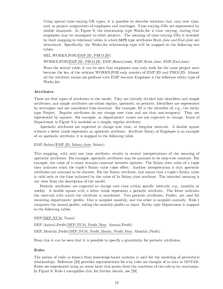Using special times the post types, it is possible to describe that the time that  $\alpha$ such as project assignments of employees and marriages. Time-varying GRs are represented by double diamonds in Figure 2 and the relationship type Works for intervals for intervals for intervals for intervals for intervals for intervals for intervals for intervals for intervals for intervals for intervals for inte employees may be reassigned to other projects. The meaning of time-varying GRs is revealed by their mapping to relational tables in which DATE type attributes Start date and End date are introduced Specially and Specially the Works for relationship type will be mapped to the following two followin tables

Relative of the property of the state of the state of the state of the state of the state of the state of the state of the state of the state of the state of the state of the state of the state of the state of the state of

WORKS FOREMP ID PROJ ID EMP Hoursweek EMP Start date EMP End date

From the second table it can be seen that employees may only work for the same pro ject once because the key of the relation WORKS FOR only consists of EMP ID and PROJ ID Almost all the attribute names are prefixed with EMP because Employee is the reference entity type of Works for.

#### Attributes

There are four types of attributes in the model. They are initially divided into identifiers and simple attributes and simple attributes are either regularity of periodic international are represented to of rectangles and are considered times and including for example, we are exceedingly and the consideration of type Project. Regular attributes do not change over time and are thus non-temporal. They are represented by squares For example as departments names are not expected to change Name of Department in Figure is modeled as a simple regular attribute

 $\mathbf{A}$ without a letter inside represents an aperiodic attribute Attribute Salary of Employee is an example of an aperiodic attribute; it is mapped to the following table.

```
empt and the contract of the salary of the salary state of the contract of the salary of the salary of the salary of the salary of the salary of the salary of the salary of the salary of the salary of the salary of the sal
```
This mapping with only one time attribute results in several interpretations of the meaning of aperiodic attributes For example, aperiodic attributes may be step with the step with the stepwise  $\bullet$  as examples, the value of a salary remains constant between updates The Salary dates the Salary date value of a t then indicates when the tuple's Salary value takes effect. Another interpretation is that aperiodic attributes are assumed to be discrete For the Salary attribute Salary and the Salary states Salary values of t is valid only at the time indicated by the value of its Salary date attribute. The intended meaning is not clear from the description of the model

Periodic attributes are expected to change over time within specic intervals eg monthly or weekly. A double square with a letter inside represents a periodic attribute. The letter indicates the intervals with with the attribute is monitored Two periodic attributes  $\mu$  is monitored for an attribute recording departments prots One is sampled monthly and the other is sampled annually Rulecomputes the monthly protect incoming the monthly protect in mapping monthly type Department is manipulated in to the following tables

#### ————————————————————

a ann ann anns an chomain ann an chomain ann an chomain anns an chomain ann an chomain ann an chomain ann an c are the contract and the protocol of the contract of the contract of the contract of the contract of the contract of the contract of the contract of the contract of the contract of the contract of the contract of the contr

From this it can be seen that it is possible to specify a granularity for periodic attributes

#### Rules

The notion of rules as known from knowledge-based systems is used for the modeling of procedural relationships. Reference  $[23]$  provides argumentation for why rules are thought of as data in MOTAR. Rules are represented using an arrow head that points from the condition of the rule to its conclusion exemples this form is the further details for further details and the further  $\mathcal{S}$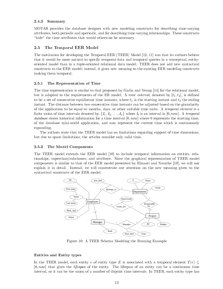### -- Summary

MOTAR provides the database designer with new modeling constructs for describing timevarying attributes both periodic and aperiodic and for describing timevarying relationships These constructs "hide" the time attributes that would otherwise be necessary.

### 2.5 The Temporal EER Model

The motivation for developing the Temporal EER TEER
 Model - -- was that its authors believe that it would be more natural to specify temporal data and temporal queries in a conceptual entity oriented model than in a tuple-oriented relational data model. TEER does not add new syntactical  $\mathbf{r}$ making them temporal

#### $2.5.1$ The Representation of Time

The time representation is similar to that proposed by Gadia and Yeung - for the relational model but is adapted to the requirements of the ER model A time this time intervalse the started  $\{1,1\}$  is denoted the component to be a set of consecutive equipment time instantants instants in the starting instant time instant and the end instant. The distance between two consecutive time instants can be adjusted based on the granularity of the supplementary to be equal to months and a temporal element is an alleged to the suitable time units A t finite union of time intervals denoted by,  $\{I_1, I_2, \ldots, I_n\}$  where  $I_i$  is an interval in [0, now]. A temporal database stores historical information for a time interval  $[0, now]$  where 0 represents the starting time, of the database miniworld application and now represent the current time which is continuously expanding

The authors state that the TEER model has no limitations regarding support of time dimensions but due to space limitations are the articles considered only valid time articles consider only valid time only

#### The Model Components

to the Teer model information that the EER model information on the entities on the constraint term in the cont tionships the superclass that the superclass distribute Since  $\alpha$  attribute Since the graphical representation of TEER models components is similar to that of the EER model presented by Elmascher and Navathe - 1991, the start control of explaints it in detailed showing its instruments our millionial in the new meaning given to the concentration syntactical constructs of the EER model



Figure - A TEER Schema Modeling the Running Example

### Entities and Entity types

In the TEER model, each entity e of entity type E is associated with a temporal element  $T(e) \subseteq$  $[0, now]$  that gives the *lifespan* of the entity. The lifespan of an entity can be a continuous time interval or it can be the union of a number of disjoint time intervals In TEER each entity type has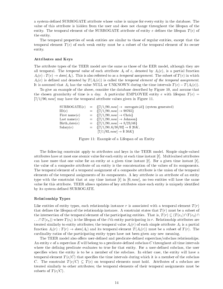a system-defined SURROGATE attribute whose value is unique for every entity in the database. The value of this attribute is hidden from the user and does not change throughout the lifespan of the entity. The temporal element of the SURROGATE attribute of entity e defines the lifespan  $T(e)$  of the entity

The temporal properties of weak entities are similar to those of regular entities except that the temporal element  $T(e)$  of each weak entity must be a subset of the temporal element of its owner entity

#### Attributes and Keys

The attribute types of the TEER model are the same as those of the EER model although they are all temporal temporal value of each attribute  $\mu$  at  $\mu$  of  $\mu$  of  $\mu$  of  $\mu$  and  $\mu$  $A_i(e): T(e) \to dom(A_i)$ . This is also referred to as a temporal assignment. The subset of  $T(e)$  in which  $A_i(e)$  is defined and denoted by  $T(A_i(e))$  is called the temporal element of the temporal assignment. It is assumed that  $A_i$  has the value NULL or UNKNOWN during the time intervals  $T(e) - T(A_i(e))$ .

 $\mathbf{M}$  and assume that above an example of the database described by Figure the chosen granularity of time is a day. A particular EMPLOYEE entity e with lifespan  $T(e)$  = --- now may have the temporal attribute values given in Figure --

|                  | $\text{SURROGATE}(e) = \{ [7/1/90, now] \rightarrow \text{surrogate_id} \}$ (system generated) |
|------------------|------------------------------------------------------------------------------------------------|
| ID(e)            | $= \{ [7/1/90, now] \rightarrow 98765 \}$                                                      |
| First name $(e)$ | $= \{ [7/1/90, now] \rightarrow Chris \}$                                                      |
| Last name $(e)$  | $= \{ [7/1/90, now] \rightarrow \text{Johnson} \}$                                             |
| $Birth\_date(e)$ | $= \{ [7/1/90, now] \rightarrow 8/23/46 \}$                                                    |
| Salary(e)        | $= \{ [7/1/90, 6/30/92] \rightarrow $20K,$                                                     |
|                  | $[7/1/92, now] \rightarrow $30K$                                                               |

Figure -- Example of a Lifespan of an Entity

The following constraint apply to attributes and keys in the TEER model. Simple single-valued attributes have at most one atomic value for each entity at each time instant  $[t]$ . Multivalued attributes can have more that one value for an entity at a given time instant  $[t]$ . For a given time instant  $[t]$ , the value of a composite attribute of an entity is the concatenation of the values of its components The temporal element of a temporal assignment of a composite attribute is the union of the temporal elements of the temporal assignments of its components A key attribute is an attribute of an entity type with the constraints that any time instant that  $\vert \cdot \vert$  any  $\vert \cdot \vert$  in  $\vert \cdot \vert$  for two entities will have the same the same that  $\vert \cdot \vert$ value for this attribute. TEER allows updates of key attributes since each entity is uniquely identified by its system-defined SURROGATE.

#### Relationship Types

Like entities of entity types each relationship instance r is associated with a temporal element T r that defines the lifespan of the relationship instance. A constraint states that  $T(r)$  must be a subset of the intersection of the temporal element of the participating entities. That is,  $T(r) \subseteq (T(e_1) \cap T(e_2) \cap$  $\ldots \cap T(e_n)$  where  $T(e_i)$  is the lifespan of the *i*'th entity participating in r. Relationship attributes are treated similarly to entity attributes; the temporal value  $A_i(r)$  of each simple attribute  $A_i$  is a partial function  $A_i(r)$ :  $T(r) \to dom(A_i)$  and its temporal element  $T(A_i(r))$  must be a subset of  $T(r)$ . The cardinality ratios of the participating entity types have not been given any new meaning

The TEER model also offers user-defined and predicate-defined superclass/subclass relationships. An entity  $e$  of a superclass  $E$  will belong to a predicate-defined subclass  $C$  throughout all time intervals where the dening predicate evaluates to true for that the user  $\alpha$  user a user a user a user that where  $\alpha$ species will the entity is to be a member of the subclass In either cases In either cases, will have a member o temporal element  $\mathcal{L}_{\mathcal{A}}$  , that species the time intervals which  $\mathcal{A}$  which is a member of the subclass C. The constraint  $T(e/C) \subseteq T(e)$  on temporal elements must hold. Attributes of a subclass are treated similarly to other attributes; the temporal elements of their temporal assignments must be subsets of T e-C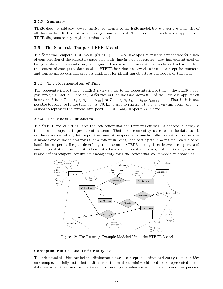### Summary

TEER does not add any new syntactical constructs to the EER model constructs the  $\mathbb{R}^n$ all the standard EER constructs making them temporal TEER do not provide any mapping from TEER diagrams to any implementation model

### 2.6 The Semantic Temporal EER Model

The Semantic Temporal EER model  $\mathbb T$  . The Semantic formula in order to compensate for a lacked in order to compensate for a lacked in order to compensate for a lacked in order to compensate for a lacked in  $\mathbb T$ of consideration of the semantics associated with time in previous research that had concentrated on temporal data models and query languages in the context of the relational model and not so much in the context of conceptual data models. STEER introduces a new classification concept for temporal and conceptual objects and provides guidelines for identifying objects as conceptual or temporal.

### The Representation of Time

The representation of time in STEER is very similar to the representation of time in the TEER model just surveyed Actually the only dierence is that the time domain T of the database application is expanded from  $T = \{t_0, t_1, t_2, \ldots, t_{now}\}$  to  $T = \{t_0, t_1, t_2, \ldots, t_{now}, t_{now+1}, \ldots\}$ . That is, it is now possible to reference reference times points is the model is used the points for unknown the unit points  $_{100\,W}$ is used to represent the current time point STEER only supports valid time

### The Model Components

The STEER model distinguishes between conceptual and temporal entities A conceptual entity is treated as an ob ject with permanent existence That is once an entity iscreated in the database it can be referenced at any future point in time. A temporal entity—also called an entity role because it models one of the several roles that a conceptual entity can participate in over time—on the other hand has a specic lifespan describing its existence STEER distinguishes between temporal and nontemporal attributes and it dierentiates between temporal and conceptual relationships as well It also defines temporal constraints among entity roles and conceptual and temporal relationships.



Figure - The Running Example Modeled Using the STEER Model

#### Conceptual Entities and Their Entity Roles

To understand the idea behind the distinction between conceptual entities and entity roles consider an example Indianample Initial Christian contracts from the modeled minimum theory is the presented in the comp database when they become of interest For example, with the minimum aspects we have the post-form.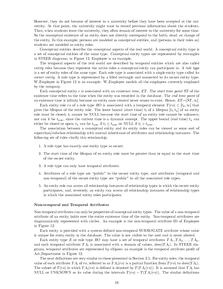However they do not become of interest to a university before they have been accepted at the uni  $\mathbf t$  that point that point to record previous information about the students information about the students information about the students information about the students in  $\mathbf t$ Then when students leave the university they often remain of interest to the university for some time So the conceptual existence of an entity does not directly correspond to the birth dead or change of the entity In this example persons are modeled as conceptual entities and persons in their roles as students are modeled as entity roles

Conceptual entities describe the conceptual aspects of the real world. A conceptual entity type is a set of conceptual entities of the same type. Conceptual entity types are represented by rectangles in Steer diagrams in Figure - In Steer diagrams in Figure - In the steer diagrams in Figure - In the steer diagrams in Figure - In the steer diagrams in Figure - In the steer diagrams in Figure - In the steer diagrams in

The temporal aspects of the real world are described by temporal entities which are also called entity roles because they represent the active roles a conceptual entity can participate in. A role type is a set of entity roles of the same type Each role type is associated with a single entity type called its owner entity. A role type is represented by a filled rectangle and connected to its owner entity type. W Employeein Figure - is an example W Employeemodels all the employees currently employed by the company

Each conceptual entity e is associated with an existence time ET The start time point ST of the existence time refers to the time when the entity was recorded in the database. The end time point of an existence time is infinity because an entity once created never ceases to exist. Hence,  $EI = |SI|, \infty$ .

Each entity role ro of a role type RO is associated with a temporal element  $T(ro) \subset |t_0,\infty|$  that gives the lifespan of the entity role. The lower bound (start time)  $t_l$  of a lifespan  $[t_l, t_u]$  of an entity role must be closed;  $t_l$  cannot be NULL because the start time of an entity role cannot be unknown; norm can it be the current time is a dynamic concept Theorem is a dynamic concept The upper bound time is a dy either be closed or open;  $t_u$  can be  $t_{now}$  if  $t_l \leq t_{now}$  or NULL if  $t_l > t_{now}$ .

The association between a conceptual entity and its entity roles can be viewed assome sort of superclass/subclass relationship with mutual inheritance of attributes and relationship instances. The following set of rules clarify this relationship

- A role type has exactly one entity type as owner
- 2. The start time of the lifespan of en entity role must be greater than or equal to the start time of the owner entity
- 3. A role type can only have temporal attributes.
- Attributes of a role type are public to the owner entity type and attributes temporal and non-temporal) of the owner entity type are "public" to all the associated role types.
- An entity role can access all relationship instances of relationship types in which the owner entity participates and reversely an entity can access all relationship instances of relationship types in which the associated entity roles participates

#### Non-temporal and Temporal Attributes

Non-temporal attributes can only be properties of conceptual entity types. The value of a non-temporal attribute of an entity holds over the entire existence time of the entity Nontemporal attributes are diagrammically represented with circles. An example is the non-temporal attribute ID of Employee in Figure - The Figure - The Figure - The Figure - The Figure - The Figure - The Figure - The Figure - The Figure - The Figure - The Figure - The Figure - The Figure - The Figure - The Figure - The Figure - The Figure - Th

Each entity is provided with a system-defined non-temporal SURROGATE attribute whose value is unique for every entity in the database. The value is not visible to the user and is never altered.

Each entity type E or role type RO may have a set of temporal attributes  $TA_1,TA_2,\ldots,TA_n$ and each temporal attribute T Ai is associated with a domain of values of values  $\mu$  and  $\mu$  and  $\mu$  are diagonal attribute T Ai is associated with a domain of values of values of values of values of values of values o grams temporal attributes are represented by ellipses an example is the temporal attribute prot of  $\mathcal{L}$  . Figure -  $\mathcal{L}$  is figure -  $\mathcal{L}$  , and  $\mathcal{L}$  is figure -  $\mathcal{L}$ 

the matrix are next denimics are very similar to those presented in Section 2011, For entity roles the temporal value of each attribute T Ai of role of the contract  $\alpha$  and  $\alpha$  is a particle function from T  $\alpha$  , and  $\alpha$  as  $\alpha$ The subset of  $T(ro)$  in which  $TA_i(ro)$  is defined is denoted by  $T(TA_i(ro))$ . It is assumed that  $TA_i$  has NULL or UNKNOWN as its value during the intervals  $T(ro) - T(TA_i(ro))$ . The similar definitions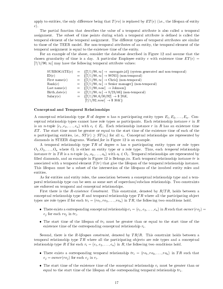apply to entitled the second contract that  $\alpha$  is the lifest of  $\alpha$  is  $\alpha$  . The lifest of entity  $\alpha$  $e$ ).

The partial function that describes the value of a temporal attribute is also called a temporal assignment. The subset of time points during which a temporal attribute is defined is called the temporal element of the temporal assignment. The different types of temporal attributes are similar to the TEER model For non-temporal attributes of an entity  $\mathbf{f}_{\mathbf{f}}$ temporal assignment is equal to the existence time of the entity

For an example of the above consider the database described in Figure - and assume that the chosen granularity of time is a day. A particular Employee entity e with existence time  $ET(e)$  $\left[ \frac{1}{1}\right]$ 90, $\infty$  may have the following temporal attribute values:

 $SUBROGATE(e)$  $= \{ [7/1/90, \infty[ \rightarrow \text{ surrogate_id} \} \text{ (system generated and non-temporal)} \}$  $ID(e)$  $= \{ [7/1/90, \infty[ \rightarrow 98765 \} \text{ (non-temporal)} \}$ First name $(e)$  $= \{ [7/1/90, \infty[ \rightarrow Chris \} (non-temporal) \}$  $Rank(e)$  $= \{ [7/1/90, \infty[ \rightarrow$  Senior manager} (non-temporal) Last name $(e)$  $= \{ [7/1/90, now] \rightarrow \text{Johnson} \}$  $Birth\_date(e)$  $= \{ [7/1/90, \infty[ \rightarrow 8/23/46 \} (non-temporal)$  $S_{\text{alary}}(e)$  $= \{ [7/1/90, 6/30/92] \rightarrow $20K,$  $[7/1/92, now] \rightarrow $30K$ 

#### Conceptual and Temporal Relationships

A conceptual relationship type R of degree n has n participating entity types  $E_1, E_2, \ldots, E_n$ . Conceptual relationship types cannot have role types as participants. Each relationship instance  $r$  in  $R$ is an *n*-tuple  $\langle e_1, e_2, \ldots, e_n \rangle$  with  $e_i \in E_i$ . Each relationship instance r in R has an existence time  $ET.$  The start time must be greater or equal to the start time of the existence time of each of the n participating entities, i.e.,  $ST(r) \geq ST(e_i)$  for all  $e_i$ . Conceptual relationships are represented by diamonds in STEER diagrams Worked for in Figure - in Figure - in Figure - is an example - i

A temporal relationship type  $TR$  of degree n has n participating entity types or role types O OOn where Oi is either an entity type or <sup>a</sup> role type Thus each temporal relationship instance tr in TR is a n-tuple  $\langle o_1, o_2, \ldots, o_n \rangle$  with  $o_i \in O_i$ . Temporal relationships are represented by lled diamonds and an example in Figure - is Belongs to Each temporal relationship instance tr is associated with a temporal element  $T(tr)$  that give the lifespan of the temporal relationship instance. This lifespan must be a subset of the intersection of the lifespans of the involved entity roles and entities

As for entities and entity roles the association between a conceptual relationship type and a tem poral relationship type can be seen as some sort of superclass/subclass relationship. Two constraints are enforced on temporal and conceptual relationships

First there is the Rexistence Constraint This constraint denoted by R-T R holds between a conceptual relationship type R and temporal relationship type  $TR$  where all the participating object types are role types if for each  $tr_i = \langle r_0, r_0, \ldots, r_n \rangle$  in TR, the following two conditions hold.

- There exists a corresponding conceptual relationship  $r_i = \langle e_1, e_2, \ldots, e_n \rangle$  in R such that  $owner(ro_j) =$  $e_j$  for each  $ro_j$  in  $tr_i$ .
- $\bullet$  The start time of the lifespan of  $tr_i$  must be greater than or equal to the start time of the existence time of the corresponding conceptual relationship  $r_i$ .

Second there is the Rlifespan constraint denoted by T R-R This constraint holds between a temporal relationship type  $TR$  where all the participating objects are role types and a conceptual relationship type R if for each  $r_i = \langle e_1, e_2, \ldots, e_n \rangle$  in R, the following two conditions hold.

- There exists a corresponding temporal relationship  $tr_i = \langle ro_1, ro_2, \ldots, ro_n \rangle$  in TR such that  $e_i = owner(ro_i)$  for each  $e_i$  in  $r_i$ .
- $\bullet$  The start time of the existence time of the conceptual relationship  $r_i$  must be greater than or equal to the start time of the lifespan of the corresponding temporal relationship  $tr_i$ .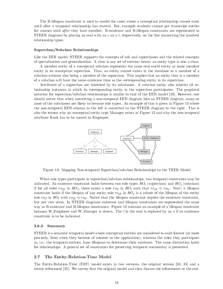The Rlifespan constraint is used to model the cases where a conceptual relationship cannot exist until after a temporal relationship has started For example students cannot get transcript entries for courses until *after* they have enrolled. R-existence and R-lifespan constraints are represented in STEER diagrams by placing an oval with an ean a l respectively on the line connecting the involved relationship types

#### Superclass/Subclass Relationships

Like the EER model STEER supports the concepts of sub and superclasses and the related concepts of specialisation and generalization A class is any set of entities hence an entity type is also a class

A member entity of a conceptual subclass represents the same realworld entity as some member entity in its conceptual superclass Thus an entity cannot exists in the database as a member of a subclass without also being a member of the superclass This implies that an entity that is a member of a subclass will have the same existence time as the corresponding entity in its superclass

Attributes of a superclass are inherited by its subclasses A subclass entity also inherits all re lationship instances in which its corresponding entity in the superclass participates. The graphical notation for superclasssubclass relationships is similar to that of the EER model - However one  $\mathbf n$  notice that when converting a non-temporal EER diagram into an  $\mathbf n$  and  $\mathbf n$  and  $\mathbf n$ most of the subclasses are likely to become role types An example of this is given in Figure -  $\mathbf{f}(\mathbf{A})$ the non-temporal EER schema to the left is converted to the STEER diagram to the right. This is also the reason why no conceptual entity type Manager exists in Figure - and why the nontemporal attribute Rank has to be moved to Employee



Figure - Mapping Nontemporal Superclasssubclass Relationships to the TEER Model

when roles types participate in superclass, such constraints may be two temporal constraints may be two temporal constraints may be two temporal constraints may be two temporal constraints may be two temporal constraints m indicated. An existence constraint holds between two role types  $RO<sub>i</sub>$  (superclass) and  $RO<sub>i</sub>$  (subclass) if for all roles  $ro_{ik}$  in  $KO_j$ , there exists a role  $ro_{il}$  in  $KO_i$  such that  $ro_{ik} \equiv ro_{il}$ . Next, a lifespan constraint holds if the lifespan of any entity role  $ro_{ik}$  in  $RO<sub>j</sub>$  is a subset of the lifespan of the entity role ro<sub>il</sub> in RO<sub>i</sub> with ro<sub>jk</sub>  $\equiv$  ro<sub>il</sub>. Notice that the lifespan constraint implies the existence constraint, but not vice versa In STEER diagrams existence and lifespan constraints are represented the same way as Rexistence and Rlifespan constraints Figure - and Rlifespan constraints Figure - and Rexistence and Rexistence and Rexistence and Rexistence and Rexistence and Rexistence and Rexistence and Rexistence and Rexistence between W\_Employee and W\_Manager is shown. The  $l$  in the oval is replaced by an  $e$  if an existence constraint is to be indicated

#### Summary

STEER is a semantic temporal model where conceptual entities are considered to exist forever (or more precisely from when they become of interest to the application whereas the roles they participate ing iers, the temporal entities, now a matched the same distinction their existence the same distinction match for relationships A general set of constraints for preserving temporal consistency is presented

### 2.7 The Entity-Relation-Time Model

the Entity RelationTime Entity RelationTime Entity RelationTime Entity RelationServices in the original version recent recent renew rst the original model and the original model and then discuss then discuss the renew renew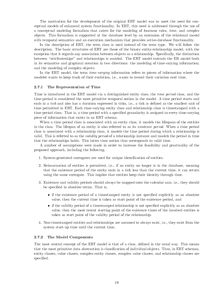The motivation for the development of the original ERT model was to meet the need for con ceptual models of enhanced system functionality In ERT this need is addressed through the use of a conceptual modeling formalism that caterial modeling of business rules-time  $\mathbf{r}_1$ objects. This formalism is supported at the database level by an extension of the relational model with temporal semantics and an execution mechanism that provides active-database functionality.

In the description of ERT the term class is used instead of the term type We will follow the description The basic structures of the binary entityrelation of the binary entityrelationship model with the binary entityrelationship model with the binary entityrelationship model with the binary entityrelationship mode exception that it regards any association between observation between observationship Specially Specially Special between "attributeships" and relationships is avoided. The ERT model extends the ER model both in its semantics and graphical notation in two directions: the modeling of time-varying information; and the modeling of complex objects.

in the Ert model in the term times to piece of information refers to pieces to information where the contract modeler wants to keep track of their evolution ie wants to record their variation over time

#### The Representation of Time

Time is introduced in the ERT model via a distinguished entity class the time period class and the time period is considered the most primitive temporal notion in the model A time period starts and ends in a tick and also has a duration expressed in ticks ie a tick is dened as the smallest unit of time permitted in ERT. Each time-varying entity class and relationship class is timestamped with a time period class That is assigned granularity is assigned to every timevary timevarying timevarying timevarying  $\mathbf{u}$ piece of information that exists in an ERT schema

When a time period class is associated with an entity class it models the lifespans of the entities in the class. The lifespan of an entity is also referred to as its *existence period*. When a time period class is associated with a relationship class in the time period during which a relationship is a relationship in valid. This is referred to as the *validity period* of a relationship instance and models the period in time that the relationships holds. This latter time notion thus corresponds to valid time.

A number of assumptions were made in order to increase the feasibility and practicality of the proposed approach including the following

- system generated surrogates are used for individual for entities are used for the surface  $\sim$
- Reincarnation of entities is permitted ie if an entity no longer is in the database meaning that the existence period of the entity ends in a tick less than the current time it can return using the same surrogate This implies that entities keep their identity through time
- existence and value and periods showld always be mapped onto the calendar axis and they should always the cale be specified in absolute terms. That is,
	- $\bullet$  if the existence period of a timestamped entity is not specified explicitly as an absolute value time is taken as start point of the current time is taken as start point of the existence period of the e
	- $\bullet$  if the validity period of a timestamped relationship is not specified explicitly as an absolute value the most recent starting point of the most recent starting point of the existence times of the involved entities is a starting point of the existence times of the involved entities is a starting of the involved entit taken as start point of the validity period of the relationship
- nontimestamped they are and relationships are assumed to always existing they exist from the components of the system start-up time until the current time.

#### The Model Components

The most central concept of the ERT model is that of a class dened in the usual way This means that the most primitive data abstraction is classication of individual objects Thus, Thus Most Thus Thus ....., complex complex complex complex complex complex classes are and relationship complex and the complex of specified.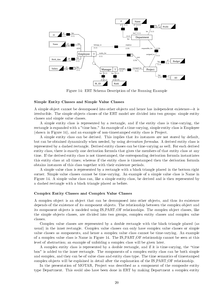

Figure - Figure - Error Schema Description of the Running Examples -  $\mathcal{L}_{\mathbf{A}}$ 

#### Simple Entity Classes and Simple Value Classes

A simple object cannot be decomposed into other objects and hence has independent existence—it is irreducible. The simple objects classes of the ERT model are divided into two groups: simple entity classes and simple value classes

A simple entity class is represented by a rectangle and if the entity class is timevarying the rectangle is expanded with a time box An example of a timevarying simple entity class is Employee shown in Figure - and an example of nontimestamped entity class is Pro ject

A simple entity class can be derived. This implies that its instances are not stored by default, but can be obtained dynamically when needed by using derivation formulas A derived entity class is represented by a dashed rectangle. Derived entity classes can be time-varying as well. For each derived entity class there is exactly one derivation formula that gives the members of that entity class at any time If the derived entity class is not timestamped the corresponding derivation formula instantiates this entity class at all times; whereas if the entity class is timestamped then the derivation formula obtains instances of this class together with their existence periods

A simple value class is represented by a rectangle with a black triangle placed in the bottom right corner. Simple value classes cannot be time-varying. An example of a simple value class is Name in Figure - A simple value class can like a simple entity class be derived and is then represented by a dashed rectangle with a black triangle placed as before

#### Complex Entity Classes and Complex Value Classes

A complex ob ject is an ob ject that can be decomposed into other ob jects and thus its existence depends of the existence of its component objects. The relationship between the complex object and its component ob jects is modeled using IS PART OF relationships The complex ob ject classes like the simple objects classes of the dividence into  $\Delta$  are  $\Delta$  and complex values, complex values values of the complex values of the complex values of the complex values of the complex values of the complex values of the classes

Complex value classes are represented by a double rectangle with the black triangle placed (as usual in the inner rectangle Complex value classes can only have complex value classes or simple value components as complex value class cannot be timevary indices value cannot be time  $\rho$  and  $\rho$  and the time  $\rho$ of a complex value class is the IS PART of Figure - The IS PART OF The IS PART OF RELATIONSHIP can be seen at the see level of abstraction; an example of unfolding a complex class will be given later.

a complexe coming complex represented by a double rectangley when it is the complex  $\alpha$  and  $\beta$ box" is added to the inner rectangle. The components of a complex entity class can be both simple and complexed can be of value can be of value class the time semantics of timestamped and timestamped to the t complex objects will be explained in detail after the explanation of the IS\_PART\_OF relationship.

an the presentation of MOTAR Direct was described as a component of the composite  $\sim$ type Department. This could also have been done in ERT by making Department a complex entity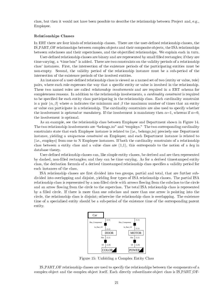class the class of the second contract the possible to describe the relationship between Pro ject and sight Employee

#### Relationships Classes

In ERT there are four kinds of relationship classes There are the userdened relationship classes the IS PART OF relationships between complex ob jects and their composite ob jects the ISA relationships between subclasses and their superclasses and the ob jectied relationships We explain each in turn

User-defined relationship classes are binary and are represented by small filled rectangles; if they are timevary in time box is added There are two constraints on the validity periods of a relationship periods of a class instances First the intersection of the existence periods of the participating entities must be nonempty Secondary Secondary Secondary Secondary period of the relationship instance must be a subperiod of th intersection of the existence periods of the involved entities

An instance of a user density of a user density of two entity or values is viewed as a named set of two  $\mu$ pairs where each role expresses the way that a specic entity or value is involved in the relationship These two named roles are called *relationship involvements* and are required in a ERT schema for completeness reasons In addition to the relationship involvements a cardinality constraint is required to be specified for each entity class participating in the relationship class. Each cardinality constraint is a pair  $(\alpha, \beta)$  where  $\alpha$  indicates the minimum and  $\beta$  the maximum number of times that an entity or value can participate in a relationship. The cardinality constraints are also used to specify whether the involvement is optional or mandatory If the involvement is mandatory then - whereas if the involvement is optional

As an example see the relationship class between Employee and Department shown in Figure - The two relationship involvements are "belongs\_to" and "employs." The two corresponding cardinality constraints state that each Employee instance is related to ie belongs to
 precisely one Department instance yielding a uniqueness constraint on Employee and each Department instance is related to ie employs
 from one to N Employee instances If both the cardinality constraints of a relationship class between a entity class and a value class are the notion of a value class are the notion of a key interest database theory

Userdened relationship classes can like simple entity classes be derived and are then represented by dashed nonlled rectangles and they can be time varying As for a derived timestamped entity class the derivation formula of a derived timestamped relationship class species a validity period for each instances of the class

ISA relationship classes are rst divided into two groups partial and total that are further sub divided into overlapping and disjoint yielding four types of ISA relationship classes The partial ISA relationship class is represented by a non-filled circle with arrows flowing from the subclass to the circle and an arrow flowing from the circle to the superclass. The total ISA relationship class is represented by a filled circle. If there is more than one subclass and more than one arrow is pointing into the circle the relationship class is disjointly class is distorted the relationship class is overlapping The existence time of a specialized entity should be a sub-period of the existence time of the corresponding parent entity



Figure - Unfolding a Complex Entity Class

IS PART OF relationship classes are used to specify the relationships between the components of a complex object and the complex object itself. Each directly subordinate object class is IS\_PART\_OF-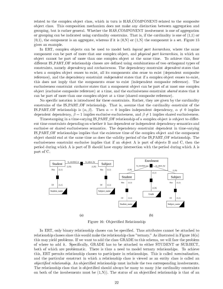related to the complex object changed the componentrelated to the components of the components of the component object class. This composition mechanism does not make any distinction between aggregation and  $\alpha$  is rather the HAS COMPONENT involvement involvement involvement involvement involvement involvement involvement in or grouping can be indicated using constraints the cardinality is one of  $\mathcal{N}$  and  $\mathcal{N}$  - the component is an aggregate whereas if it is  N
 or - N
 the component is a set Figure gives an example

In ERT complex ob jects can be used to model both logical part hierarchies where the same component can be part of more that one complex ob ject and physical part hierarchies and physical part his second ob ject cannot be part of more than one complex ob ject at the same time To achieve this four different IS\_PART\_OF relationship classes are defined using combinations of two orthogonal types of constraints namely dependency and exclusiveness The dependency constraint dependent states that when a complex observed all its components also ceases to exist dependent components also ceases to exist depend reference and the dependency constraint independent states that if a complex ob ject ceases to exist this does not imply that the components cease to exist (independent composite reference). The exclusiveness constraint *exclusive* states that a component object can be part of at most one complex ob ject exclusive composite reference
 at a time and the exclusiveness constraint shared states that it can be part of more than one complex object at a time (shared composite reference).

No specic notation is introduced for these constraints Rather they are given by the cardinality constrains of the IS PART OF relationship That is assume that the cardinality constraint of the IS\_PART\_OF relationship is  $(\alpha, \beta)$ . Then  $\alpha = 0$  implies independent dependency,  $\alpha \neq 0$  implies dependent dependency,  $\beta = 1$  implies exclusive exclusiveness, and  $\beta \neq 1$  implies shared exclusiveness.

Timestamping in a time-varying IS\_PART\_OF relationship of a complex object is subject to different time constraints depending on whether it has dependent or independent dependency semantics and exclusive or shared exclusiveness semantics. The dependency constraint dependent in time-varying IS PART OF relationships implies that the existence time of the complex ob ject and the component object should end at the same time as does the validity period of the IS\_PART\_OF relationship. The exclusiveness constraint exclusive implies that if an ob ject A is part of ob jects B and C then the period during which A is part of B should have empty intersection with the period during which A is part of C



Figure - Ob jectied Relationship

In ERT only binary relationship classes can be specied Thus attributes cannot be attached to relationship classes since this would make the relationship class ternary As illustrated in Figure -a this may yield problems If we will face to add the class Grade to the class of the will face the problems of the problems of the problems of the problems of the problems of the problems of the problems of the problems of t of where to add it Specifically Chemical to at attached to either STUDENT or SUBJECT. both of which are problematic. There is thus a need to model ternary relationships. To achieve this ERT permits relationship classes to participate in relationships This is called nominalisation and the particular construct in which a relationship class is viewed asan entity class is called an  $objectified$  relationship. An objectified relationship must include the two corresponding involvements. The relationship class that is objectified should always be many to many (the cardinality constraints on both of the involvements must be papelly must be in the status of an observement is that an observe the comp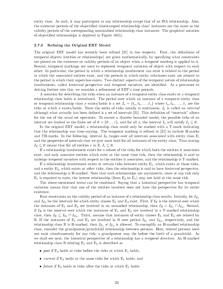entity common commonly at entity participate in any continuationship and in an ISA relationship and any the existence periods of the objectified timestamped relationship class' instances are the same as the validity periods of the corresponding nominalised relationship class instances The graphical notation of observe the contractionships is depicted in Figure . In Figure , we can assume that the contract of  $\mathbf{r}_i$ 

#### Refining the Original ERT Model

The original ERT model has recently been rened - in two respects First the denitions of temporal ob jects entities or relationships are given mathematically by specifying what constraints are placed on the existence or validity periods of an object when a *temporal marking* is applied to it. Second temporal markings are used to represent temporal variation of ob ject with respect to each other In particular the period in which a relationship involvement can exist is related to the period in which the associated entities entities existing the periods in the contract periods in which estimates to the period in which their superclass exists Two distinct aspects of the temporal nature of relationship involvements called historical perspective and temporal variation are identied As a precursor to delving further into this function  $\mathbf{f}(\mathbf{A})$  and  $\mathbf{f}(\mathbf{A})$  are negatively become periods time periods that  $\mathbf{f}(\mathbf{A})$ 

A notation for describing the ticks when an instance of a temporal entity class exists or a temporal relationship class holds is introduced. The period over which an instance of a temporal entity class or temporal relationship class x exists/holds is a set  $I_x = \{t_a, t_b, \ldots, t_z\}$  where  $t_a, t_b, \ldots, t_z$  are the ticks at which x exists  $\mathcal{S}$  exists usually is called an interval ly is called an interval ly is called an interval ly is called an interval ly is called an interval ly is called an interval ly is called an interval l although what actually has been denoted is a set of intervals  $\mathbb{R}^n$  . This denition of intervals allows a for the use of the usual set operators To ensure a discrete bounded model the possible ticks of an interval are limited to the finite set of  $\aleph = \{0 \dots \tau\}$ , and for all x, the interval  $I_x$  will satisfy  $I_x \subseteq \aleph$ .

In the original ERT model of  $\mathbb{R}$  relationship could only be matter with a Tmark indicating with a Tmark indicating  $\mathbb{R}$ that the relationship was timevarying the temporal matrix  $\mathbf{H}$  is renewly in  $\mathbf{H}$  -to include Hmarks in  $\mathbf{H}$ and The following interval intervals associated with entity class Eq. ( ) associated with entity class Eq. ( and the properties of intervals that we give must hold for all instances of the entity class. Thus stating  $I_E \subseteq \aleph$  means that for all entities e in E,  $I_e \subseteq \aleph$ .

If a relationship involvement exists for a subset of the ticks for which both the entities it associates exist and only associate entities which exist at the same time tick then the relationship is said to undergo temporal variation with respect to the entities it associates it associates it associates it associates

If a relationship involvement exists at certain ticks between entity Eq. ( and a entity Europeant exists at other ticks at other ticks at other ticks at a construction of the relationship is said to have the relationship is said to have the relationship is said to have the relationship is a const and the relationship is Hmarked Note that such relationships are asymmetric since at any tick only  $E_1$  is required to exist; the inverse relationship (from  $E_2$  to  $E_1$ ) may not hold at the same tick.

The above-mentioned terms can be combined. Saying that a historical perspective has temporal variation means that that one of the entities involved does not have the perspective for its entire existence

 $\mathbf{v}$  in the validity period of an instance of an instance of a relationship class results Initially constraints Initially constraints in  $\mathbf{E}[\mathbf{z}]$ and IE be the intervals for which entity classes E and E exist First First First First First First First First the instances of  $E_1$  and  $E_2$  are involved in an unmarked relationship, then  $I_R = I_{E_1} \cap I_{E_2}$ . Second, if  $I_R$  is the interval over which the instances of  $E_1$  and  $E_2$  are involved in a T-marked relationship class, then  $I_R \subseteq I_{E_1} \cap I_{E_2}$ . Third, assume that instances of entity classes  $E_1$  and  $E_2$  are related by  $\mathbb{P} \mathbb{P} \left( \begin{array}{ccc} \mathbb{P} & \mathbb{P} \mathbb{P} & \mathbb{P} \mathbb{P} & \mathbb{P} \mathbb{P} & \mathbb{P} \mathbb{P} & \mathbb{P} \mathbb{P} \mathbb{P} & \mathbb{P} \mathbb{P} \mathbb{P} & \mathbb{P} \mathbb{P} \mathbb{P} & \mathbb{P} \mathbb{P} \mathbb{P} & \mathbb{P} \mathbb{P} \mathbb{P} & \mathbb{P} \mathbb{P} \mathbb{P} \mathbb{P} \mathbb{P} & \mathbb{P} \mathbb{P} \$ relationship class R is H-marked, then  $I_{E_1} \neq I_{E_2}$  is allowed. To exemplify an H-marked relationship class consider the grandparentgrandchild relationship between persons Here related persons need not exist simultaneously for any tick; a grandparent may die before the birth of a grandchild. As we shall see next a relationship has a relationship has a relationship has a temporal direction An Hmarkedon An relationship class R relating  $E_1$  and  $E_2$  is described as

- $\bullet$  past if E<sub>2</sub> holds at ticks before the ticks at which E<sub>1</sub> holds,
- $\bullet$  current if  $\text{E}_2$  holds at the same ticks for which  $\text{E}_1$  holds, and
- $\bullet$  *future* if E<sub>2</sub> holds at ticks after the ticks at which E<sub>1</sub> holds.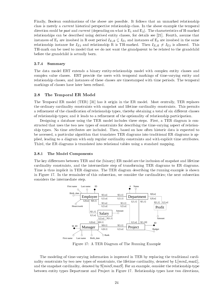Finally Boolean combinations of the above are possible It follows that an unmarked relationship class is merely a *current* historical perspective relationship class. In the above example the temporal direction could be *past* and *current* (depending on what is  $E_1$  and  $E_2$ ). The characteristics of H-marked relationships can be described using derived entity classes for details see - Fourth assume that instances of  $E_1$  are involved in R over period  $I_{E_1R} \subseteq I_{E_1}$  and instances of  $E_2$  are involved in the same relationship instance for  $I_{E2}$  and relationship R is TH-marked. Then  $I_{E1R} \neq I_{E2}$  is allowed. This TH-mark can be used to model that we do not want the grandparent to be related to the grandchild before the grandchild is actually born

#### Summary

The data model ERT extends a binary entity-relationship model with complex entity classes and complex value classes. ERT provide the users with temporal markings of time-varying entity and relationship classes and instances of these classes are timestamped with time periods The temporal markings of classes have later been refined.

#### $2.8$ The Temporal ER Model

The Temporal ER model  $\mathbf{h}$  is the ER model Most central Most central Most central Most central Most central the ordinary cardinality constraints with snapshot and lifetime cardinality constraints. This permits a renement of the classication of relationship types thereby obtaining a total of six dierent classes of relationship types; and it leads to a refinement of the optionality of relationship participation.

Designing a database using the TER model includes three steps First a TER diagram is con structed that uses the two new types of constraints for describing the time-varying aspect of relationship types No time attributes are included Then based on how often historic data is expected to be accessed a particular algorithm that translates TER diagrams into traditional ER diagrams is ap plied leading to a diagram with only regular cardinality constraints and with explicit time attributes Third the ER diagrams is translated into relational tables using a standard mapping

#### The Model Components

The key differences between TER and the (binary) ER model are the inclusion of snapshot and lifetime cardinality constraints and the intermediate step of transforming TER diagrams to ER diagrams Time is thus implicit in TER diagrams. The TER diagram describing the running example is shown in Figure - In the remainder of this subsection of this subsection of the cardinalities the next subsection of considers the intermediate step



Figure - A TER Diagram of The Running Example

The modeling of time-varying information is improved in TER by replacing the traditional cardinality constraints by two new types of constraints the lifetime cardinality denoted by LminL-maxL and the snapshot cardinality denoted by SminS-maxS For an example consider the relationship type between entity types Department and Pro ject in Figure - Relationship types have two directions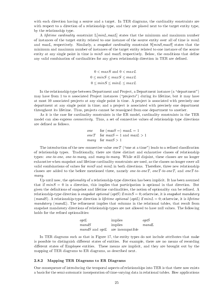with a source and a target  $\alpha$  source and a target  $\alpha$  target  $\alpha$  are cardinality constraints are and with respect to a relation of a relation of a relationship type types to the target entity type to the target by the relationship type

A lifetime cardinality constraint LminL-maxL states that the minimum and maximum number of instances of the target entity related to one instance of the source entity over all of time is  $minL$ a snapshot cardinality of the snapshot cardinality constraints of the snapshot cardinality constraints of the s minimum and maximum number of instances of the target entity related to one instance of the source entity at any single point in time is minO and max S and maxS and maxS and maxS and maxS and maxS and maxS and any valid combination of cardinalities for any given relationship direction in TER are defined.

> $0 < maxS$  and  $0 < maxL$  maxS and maxL  $0 \leq minS \leq maxS \leq maxL$  $0 \leq minS \leq minL \leq maxL$

In the relationship type between Department and Pro ject a Department instance a department may have from - to n associated Pro ject instances pro jects during its lifetime but it may have at most - associated pro jects at any single point in time A pro ject is associated with precisely one department at any single point in time; and a project is associated with precisely one department throughout its lifetime Thus its lifetime Thus  $\mathbf{f}(\mathbf{r})$  and  $\mathbf{f}(\mathbf{r})$  and  $\mathbf{f}(\mathbf{r})$  and  $\mathbf{f}(\mathbf{r})$  and  $\mathbf{f}(\mathbf{r})$  and  $\mathbf{f}(\mathbf{r})$  and  $\mathbf{f}(\mathbf{r})$  and  $\mathbf{f}(\mathbf{r})$  and  $\mathbf{f}(\mathbf{r})$  and  $\math$ 

As it is the case for case for case for cardinality constraints in the ER model  $\Gamma$ model can also express connectivity Thus a set of connective values of relationship type directions are defined as follows.

> one for  $(maxS =)$  max $L = 1$  $one T$ one  $\mathcal{M}$  for maximizing  $\mathcal{M}$  , and maximizing  $\mathcal{M}$  -for maximizing  $\mathcal{M}$  $many$  for  $maxS > 1$

The introduction of the new connective value *one*  $T$  ("one at a time") leads to a refined classification of relationship types Traditionally there are three distinct and exhaustive classes of relationship types one is they will discuss the many while still distoires are no longer and constant the still distorted t exhaustive when snapshot and lifetime cardinality constraints are used as the classes no longer cover all valid compiled combines for mind and minute three new relations three newspapers Therefore Therefore and minutes recover are added to the before mentioned three; maning that it facts the fit facts  $\frac{1}{2}$  and  $\frac{1}{2}$ many

Up we are a relationship of a relationship of a relationship performance of a relation of the complication of the best of a relationship that is usual that participation is optional implies that participations to approximate in the collection Butch given the denitions of snapshot and lifetime can be renewed the notion of the renewed  $\eta$  and the renewed at relationshiptype directions in a strup state option to the property of the structure of the structure mandatory , which is a relationship of production in which is possible to provide the control of overally as an experimental or mandatory (column ). The renewledge implies that columns in the relations in the relationship in the relation snapshot mandatory directions of relationship types are not allowed to have null values The following holds for the refined optionalities:

| optL                                  | implies | $_{optS}$ |
|---------------------------------------|---------|-----------|
| mandS                                 | implies | mandL     |
| $m and S$ and $optL$ are incompatible |         |           |

In Terms such as that in Figure -  $\mathbf{f}$ is possible to distinguish dierent states of entities For example there are no means of recording diese entities of Employee entities Theorem and they are inplicitly they are by the state of the books of the mapping of TER diagrams to ER diagrams as described next

#### Mapping TER Diagrams to ER Diagrams

One consequence of introducing the temporal aspects of relationships into TER is that there now exists a basis for the semi-automatic incorporation of time-varying data in relational tables. How applications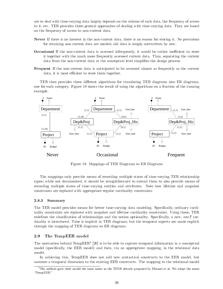are to deal with time times and time data largely depends on the volume of such data largely of access the com to it is the contract three general approaches three general approaches of data They are based with timevarying  $\alpha$ on the frequency of access to non-current data.

- Never If there is no interest in the noncurrent data there is no reason for storing it No provisions for retaining non-current data are needed; old data is simply overwritten by new.
- Occasional If the noncurrent data is accessed infrequently it would be rather inecient to store it to gether with the much more frequently accessed current data Thus  $\mathbf{N}$ data from the non-current data at the conceptual level simplifies the design process.
- Frequent If the non-current data is anticipated to be accessed almost as frequently as the current data is most existence that the most economic to store that the most existence that the most existence that the

TER then provides three different algorithms for translating TER diagrams into ER diagrams. ... the form for  $q$  is  $\alpha$  figure - ... the fraction of the algorithms on a fraction of the running  $\alpha$ example



Figure - Mappings of TER Diagrams to ER Diagrams

The mappings only provide means of recording multiple states of time-varying TER relationship types, while not documented, it showed to extend them to extend them to extend them to also provide means of recording multiple states of time-varying entities and attributes. Note how lifetime and snapshot constraints are replaced with appropriate regular cardinality constraints

### Summary

The TER model provides means for better timevarying data modeling Specically ordinary cardi nality constraints are replaced with snapshot and lifetime cardinality constraints Using these TER redence the complete of relationships and the notion optionship Species of the notion  $\mathcal{A}$ dinality is introduced Time is implicit in TER diagrams but the temporal aspects are made explicit through the mapping of TER diagrams to ER diagrams

#### 2.9 The TempEER model

The motivation behind TempEER is to be able to capture temporal information in a conceptual model specically the EER model and then via an appropriate mapping in the relational data model

In according this temperature to this constructs to the EER model new syntactical constructs to the EER model  $\mathbb{R}$ assumes a temporal dimension to the existing EER constructs. The mapping to the relational-model

<sup>-</sup>The authors gave their model the same name as the TEER already proposed by Elmasri et al We adopt the name TempEER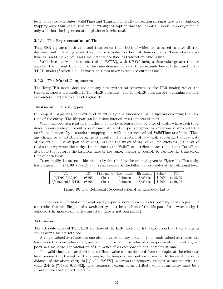level added two attributes that the relation schemas the relation schemas the relations that a convention of t mapping algorithm yields. It is an underlying assumption that the TempEER model is a design model only and that the implementation platform is relational

#### The Representation of Time

TempEER captures both valid and transaction time both of which are assumed to have discrete domains and dierent granularities may be specied for both of these domains Time intervals are used as validtime values and time instants are used as transactiontime values

 $V$ are a subset of  $U$ are a subset of  $U$ equal to the current time Thus the time domain for valid times extends beyond that used in the TEER model (Section 2.5). Transaction times never exceed the current time.

#### 2.9.2 The Model Components

The TempEER model does not add any new syntactical constructs to the EER model rather the temporal aspects are implicit in TempEER diagrams The TempEER diagram of the running example is the foreign that of  $\mathbf{f}$  is the figure -  $\mathbf{f}$  is that of  $\mathbf{f}$ 

#### Entities and Entity Types

In TempEER diagrams each entity of an entity type is associated with a lifespan capturing the valid time of the entity. The lifespan can be a time interval or a temporal element.

When mapped to a relational platform an entity is represented by a set of tuples where each tuple describes one state of the entity over time An entity type is mapped to a relation schema with the attributes dictated by a standard mapping and with an interval-valued ValidTime attribute. Thus, any change to an attribute of an entity results in the creation of new tuple capturing the new state of the entity The lifespan of an entity is then the union of the ValidTime intervals in the set of tuples that represent the entity In addition to the ValidTime attribute each tuple has a TransTime attribute that records the insertion time of the tuple to capture the tuple to capture the transaction time of the transaction time of the transaction time of the transaction time of the transaction of the transaction of time of each tuple

To exemplify let us reconsider the entity described by the example given in Figure -- This entity has lifespan T --- UNTIL and is represented by the following two tuples at the relational level

| 7T              |       | First name    | Last name | Birth_date | Salary  | ጡጡ      |
|-----------------|-------|---------------|-----------|------------|---------|---------|
| 7/1/90,6/30/92  | 98765 | $^\circ$ hris | Johnson   | 8/23/46    | $\$20K$ | 6/15/90 |
| 71792.jem UNTIL | 98765 | 7hris ∶       | Johnson   | 8/23/46    | \$ 30K  | 6/30/92 |

Figure - The Relational Representation of an Employee Entity

The temporal information of weak entity types is stored exactly as for ordinary entity types The constraint that the lifespan of a weak entity must be a subset of the lifespan of its owner entity is enforced (the interaction with transaction time is not considered).

#### Attributes

The attribute types of TempEER are those of the EER model with the exception that their changing values over time are retained

A single-valued attribute has one atomic value for any point in time; multivalued attributes can have more that one value at a given point in time; and the value of a composite attribute at a given point in time is the concatenation of the values of its components at that point in time

The valid time associated with an attribute value can be deduced from the tuples at the relational level representing the entity For example the temporal element associated with the attribute value Johnson of the above entity is --- UNTIL whereas the temporal element associated with the value K is - temporal element of an attribute value of an attribute value of an attribute value of an entity m subset of the lifespan of the entity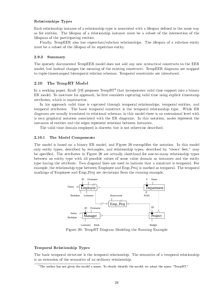### Relationships Types

Each relationship instance of a relationship type is associated with a lifespan defined in the same way as for entities The lifespan of a relationship instance must be a subset of the intersection of the lifespans of the participating entities

Finally TempEER also has superclasssubclass relationships The lifespan of a subclass entity must be a subset of the lifespan of its superclass entity.

#### Summary

The sparsely documented TempEER model does not add any new syntactical constructs to the EER model but instead changes the meaning of the existing constructs TempEER diagrams are mapped to tuple-timestamped bitemporal relation schemas. Temporal constraints are introduced.

#### The TempRT Model  $2.10$

In a working paper, Kraft [19] proposes TempKT - that incorporates valid time support into a binary  $\pm$ er motivate the motivate his approaches in motivated timestampe using valid timestampers timestampers in the c attributes and it as the second contractive or the second second second second second second second second second second second second second second second second second second second second second second second second sec

and the opportunity through the complete through temporal relationships through the complete through the complete temporal attributes. The basic temporal construct is the temporal relationship type. While ER are usually there is the contract there is a contracted to relation there is an extension contracted the street is own graphical notation associated with the ER diagrams In this notation nodes represent the instances of entities and the edges represent relations between instances

The valid time domain employed is discrete but is not otherwise described

#### 2.10.1 The Model Components

The model is based on a binary ER model is based on a binary ER model in this model is model in this model in this model is model in this model in this model in this model is model in this model in this model in this mode only entity types described by rectangles and relationship types described by crows feet may be specified. The attributes in Figure 20 are actually shorthand for one-to-many relationship types between an entity type with all possible values of some value domain as instances and the entity type having the attribute. Two diagonal lines are used to indicate that a construct is temporal. For example the relationship type between Employee and Emp Pro j is marked as temporal The temporal markings of Employee and Emp\_Proj are deviations from the running example.



Figure 20: TempRT Diagram Modeling the Running Example

### Temporal Relationship Types

The basic temporal structure is the temporal relationship. The semantics of a temporal relationship is an extension of the semantics of an ordinary relationship

 ${}^{4}$ The author has not given the model a name. To clearly identify the model, we adopt the name "TempRT."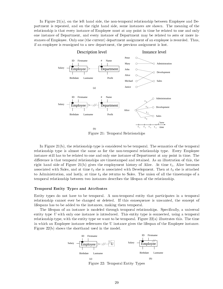and a contemporal relationship between the left hand the side of the nontemporal contemporal relationship betwee partment is repeated and on the right hand side some instances are shown The meaning of the relationship is that every instance of Employee must at any point in time be related to one and only one instance of Department and every instance of Department may be related to zero or more in stances of Employee. Only one (the current) department assignment of an employee is recorded. Thus, if an employee is reassigned to a new department the previous assignment is lost



Figure - Temporal Relationships

In Figure - Lettership the relationship type is considered to be temporal The semantics of the semantics of the temporal The temporal The semantics of the temporal The temporal The temporal The semantics of the temporal T relationship type is almost the same as for the non-temporal relationship type. Every Employee instance still has to be related to one and only one instance of Department at any point in time. The dierence is that temporal relationships are timestamped and retained As an illustration of this the right hand side of Figure -b gives the employment history of Alice At time t Alice becomes associated with Sales  $\mu$ to Administration and lastly she returns to Sales The union of all the union of all the union of all the timestamps of all the timestamps of all the timestamps of all the timestamps of all the timestamps of all the timest temporal relationship between two instances describes the lifespan of the relationship

#### Temporal Entity Types and Attributes

Entity types do not have to be temporal A nontemporal entity that participates in a temporal relationship cannot ever be changed or deleted If this consequence is unwanted the concept of lifespans has to be added to the instances making them temporal

The lifespan of an instance is modeled through temporal relationships Specically a universal entity type U with only one instance is introduced This entity type is connected using a temporal relationship type with the entity type we want to be temporal Figure a
 illustrates this The time in which an Employee instance references the U instance gives the lifespan of the Employee instance Figure  $22(b)$  shows the shorthand used in the model.



29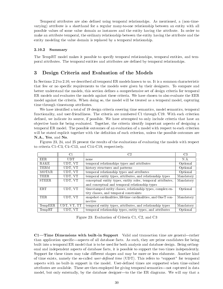Temporal attributes are also dened using temporal relationships As mentioned a nontime varying) attribute is a shorthand for a regular many-to-one relationship between an entity with all possible values of some value domain asinstances and the entity having the attribute In order to make an attribute temporal the ordinary relationship between the entity having the attribute and the entity modeling the value domain is replaced by a temporal relationship

### Summary

temporal model model makes it possible to specify temporal relationships) temporal entities in the temporal en poral attributes. The temporal entities and attributes are defined by temporal relationships.

#### 3 Design Criteria and Evaluation of the Models

In Sections to - we described all temporal ER models known to us It is a common characteristic that few or no specific requirements to the models were given by their designers. To compare and better understand the models this section denes a comprehensive set of design criteria for temporal ER models and evaluates the models against these criteria We have chosen to also evaluate the EER model against the criteria When doing so the model will be treated as a temporal model capturing time through timestamp attributes

We have identied a total of - design criteria covering time semantics model semantics temporal functionality and userfriendliness The criteria are numbered C- through C- With each criterion dened we indicate its source if possible We have attempted to only include criteria that have an ob jective basis for being evaluated Together the criteria identify important aspects of designing a temporal ER model. The possible outcomes of an evaluation of a model with respect to each criterion will be stated explicit together with the denition of each criterion of each criterion of each criterion of each criterion of each criterion of each criterion of each criterion of each criterion of each criterion of each c N-A- Yes and No

|              | C1          | C2                                                            | C <sub>3</sub> |
|--------------|-------------|---------------------------------------------------------------|----------------|
| <b>EER</b>   | <b>UDT</b>  | none                                                          | N.A.           |
| <b>RAKE</b>  | UDT, VT     | temporal relationships types and attributes                   | Optional       |
| <b>TERM</b>  | UDT, VT     | history structures and patterns                               | Optional       |
| MOTAR        | UDT, VT     | temporal relationship types and attributes                    | Optional       |
| <b>TEER</b>  | UDT, VT     | temporal entity types, attributes, and relationship types     | Mandatory      |
| <b>STEER</b> | UDT, VT     | conceptual entity types, entity roles, temporal attributes,   | Mandatory      |
|              |             | and conceptual and temporal relationship types                |                |
| ERT          | UDT, VT     | timestamped entity classes, relationship types, complex en-   | Optional       |
|              |             | tity classes, and temporal constraints                        |                |
| TER          | UDT, VT     | snapshot cardinalities, lifetime cardinalities, and OneT con- | Mandatory      |
|              |             | nective                                                       |                |
| TempEER      | UDT, VT, TT | temporal entity types, attributes, and relationship types     | Mandatory      |
| TempRT       | UDT. VT     | temporal relationship types, entity types, and attributes     | Optional       |

Figures and present the results of the evaluations of the evaluations of  $\mathbb{R}^n$ to criteria contract contract to contract the contract of the contract of the contract of the contract of the c

Figure  $\mathbb{E}[\mathbf{A}]$ 

 $C1$ —Time Dimensions with built-in Support Valid and transaction time are general—rather than application specicaspects of all database facts As such they are prime candidates for being built into a temporal ER model that is to be used for both analysis and database design. Being orthogonal and it is possible to possible the two times facts of possible to support the two times independently the Support for these times may take different shapes and may be more or less elaborate. Another kind of time time is more that it comes to support time (VIII) for the society of the social time  $\mathbb{P}^1$ aspects with no built-in support in the model. User-defined times are supported when time-valued attributes are available. These are then employed for giving temporal semantics—not captured in data model and database designery and the distribution of the database designerto the the the ER diagrams We will s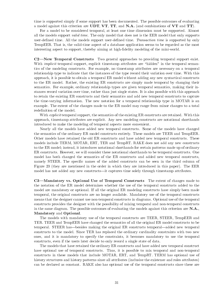time is supported simply if some support has been documented. The possible outcomes of evaluating and  $\mathbf{M}$  . This can define a distribution are UDT and N- $\mathbf{M}$ 

For a model to be considered temporal at least one time dimension must be supported Almost all the models support *valid time*. The only model that does not is the EER model that only supports user-defined time. All the models support user-defined time. Transaction time is supported by only TempEER That is the validtime aspect of a database application seems to be regarded as the most interesting aspect to support the minimization of the minimization of the minimization of the minimization of th

C2-New Temporal Constructs Two general approaches to providing temporal support exist. with implicit transportion supports, impared in the temporal semana in the temporal semana semana semana in th tics of the modeling constructs For example no timestamp attributes are necessary on a temporal relationship type to indicate that the instances of the type record their variation over time With this approached to any possible to obtain a temporal ER model with a temporal exception any new synthesis and a temporal to the ER model Radical constructs are simply the simple temporal by changing the simple the simple the constructs semantics For examples to making the semantics of post-ordinary complexed the semantics of conservations are t stances record variation over the comity rather thanks you complete that it is also possible with the presenter to retain the existing ER constructs and their semantics and add new temporal constructs to capture the time-varying information. The new notation for a temporal relationship type in MOTAR is an example. The extent of the changes made to the ER model may range from minor changes to a total redefinition of the model.

with explicit temporal specific supports of the existing ER construction  $\alpha$  with the existing  $\alpha$  are retain approaches attribute are explicit any new modeling construction and modeling constructs are not shorthands are introduced to make the modeling of temporal aspects more convenient

Nearly all the models have added new temporal constructs Some of the models have changed the semantics of the ordinary ER model constructs entirely These models are TEER and TempEER Other models have retained the old ER constructs and have added new temporal constructs These models include TERMIN, we a thence the second compared the constructs and the second construction and the construction to the ER model instead it introduces notational shorthands for certain patterns made up of ordinary ER constructs However we will consider these notational shorthands to be temporal constructs One model has both changed the semantics of the ER constructs and added new temporal constructs namely STEER. The specific names of the added constructs can be seen in the third column of Figure 23 (they are mentioned in the order in which they are introduced in this paper). The EER model has not added any new constructs—it captures time solely through timestamp attributes.

common constructs in the extension of the extent of changes of changes the changes made to the extent of the extent of the notation of the ER model determines whether the use of the temporal constructs added to the model are mandatory or optional. If all the original ER modeling constructs have simply been made temporal the original constructs are no longer available Mandatory use of the temporal constructs means that the designer cannot use non-temporal constructs in diagrams. Optional use of the temporal constructs provides the designer with the possibility of mixing temporal and non-temporal constructs in the same diagram The possible outcomes of evaluating the models against this criterion are N-A- Mandatory and Optional

The models with mandatory use of the temporal constructs are TEER STEER TempEER and TER TEER and TempEER have changed the semantics of all the original ER model constructs to be temporal. STEER has—besides making the original ER constructs temporal—added new temporal constructs to the model Since TER has replaced the ordinary cardinality constraints with two new ones, where it is mandatory to specify the constraints it secondary mandatory to which the temporal to a constructs to the users decide the users decided to only record a single state or decide

The models that have retained the ordinary ER constructs and have added new temporal construct have optional use of temporal constructs Thus it is possible to mix temporal and nontemporal constructs in these models that include the models that include Motor and Temperature and the construction of history structures and history patterns since all attributes (inclusive the existence and roles attributes) can be declared as constant. RAKE also has optional use of the temporal constructs since these are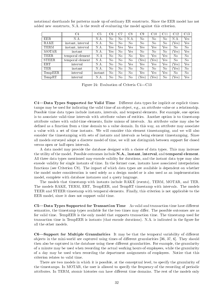|              | C <sub>4</sub>    | C5      | C6  | C7  | C8   | C9               | C10           | C11       | C12         | C13                  |
|--------------|-------------------|---------|-----|-----|------|------------------|---------------|-----------|-------------|----------------------|
| <b>EER</b>   | N.A.              | N.A.    | No  | No  | N.A. | No               | No            | No        | N.A.        | Yes                  |
| RAKE         | instant, interval | N.A.    | No  | No  | No   | No               | No            | No        | 'Yes`       | Yes                  |
| <b>TERM</b>  | instant, interval | N.A.    | Yes | Yes | Yes  | Yes              | $\rm Yes$     | Yes       | No          | No                   |
| MOTAR        | instant           | N.A.    | Yes | No  | Yes  | No               | No            | No        | ${\rm Yes}$ | Yes                  |
| <b>TEER</b>  | temporal element  | N A     | No  | No  | No   | Yes              | Yes           | $\rm Yes$ | No          | No.                  |
| <b>STEER</b> | temporal element  | N.A.    | No  | No  | No   | ${\rm Yes}$      | ${\rm Yes}^2$ | Yes       | No          | No                   |
| ERT          | interval          | N.A.    | No  | No  | Yes  | Yes              | $\rm Yes$     | $\rm Yes$ | 'Yes`       | Yes                  |
| <b>TER</b>   | instant           | N.A.    | No  | No  | No   | No               | No            | No        | 'Yes)       | No                   |
| TempEER      | interval          | instant | No  | No  | No   | Yes              | Yes           | Yes       | No          | No                   |
| TempRT       | interval          | N.A.    | No  | No  | No   | $(\mathrm{Yes})$ | Yes)          | No        | 'Yes        | $\operatorname{Yes}$ |

notational shorthands for patterns made up of ordinary ER constructs. Since the EER model has not added new constructs the result of evaluating the model against the model against the model against this criterion  $\mathcal{U}^A$ 

Figure 24: Evaluation of Criteria  $C4 - C13$ 

 $C4$ —Data Types Supported for Valid Time Different data types for implicit or explicit timestamps may be used for indicating the valid time of an ob ject eg an attribute value or a relationship Possible time data types include instants intervals and temporal elements For example one option is to associate valid-time intervals with attribute values of entities. Another option is to timestamp attribute values with values with values  $n$  attribute values  $n$  at tribute values  $\mathcal{A}$ dened as a function from a time domain to a value domain In this way and this way attribute may associate a value with a set of time instants We will consider this element timestamping and we will also consider the timestamping with sets of instants and intervals as being element timestamping. Since all models surveyed adopt a discrete model of time we will not distinguish between support for closed versus open or half-open intervals.

A data model may provide the database designer with a choice of data types This may increase the utility of the model Possible outcomes include N-A- instant interval and temporal element All three data types mentioned may encode validity for durations and the instant data type may also encode validity for single instants of time In the former case instants have associated interpolation functions (see Criterion  $\text{CS}$ ). The impact of which data types are available is dependent on whether the model under consideration is used solely as a design model or is also used as an implementation model complete with database instances and a query language

The models that timestamp with instants include RAKE events TERM MOTAR and TER The models RAKE TERM ERT TempEER and TempRT timestamp with intervals The models TEER and STEER timestamp with temporal elements Finally this criterion is not applicable to the EER model since it does not support valid time

 $C5$ —Data Types Supported for Transaction Time As valid and transaction time have different semantics the timestamp types available for the two times may dier The possible outcomes are as for valid time. TempEER is the only model that supports transaction time. The timestamp used for transaction time in TempEER is instants (that encode durations). N.A. is indicated in the figure for all the other models

C Support for Multiple Granularities It may be that the temporal variability of dierent objects in the minimum captured are captured using times of dimensional granularities  $|0\;0\;1\;0\;1\rangle$  , which we have the database in the database in the database in the granularities  $\alpha$  and the distribution  $\alpha$  and  $\alpha$  $\sim$  a minute may be used when recording the actual working hours of employees while the granularity of a day may be used when recording the department assignments of employees. Notice that this criterion relates to valid time

There are two models in which it is possible at the conceptual level to specify the granularity of the timestamps In MoTar is allowed the user is allowed to the frequency of the frequency of periodic  $\sim$ attributes in Terming attribute in the rest of the models time atomic time domains the models only the product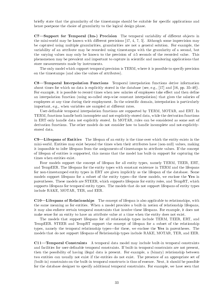briefly state that the granularity of the timestamps should be suitable for specific applications and hence postpone the choice of granularity to the logical design phase.

 $C7$ —Support for Temporal (Im-) Precision The temporal variability of different objects in the miniworld may be known with dierent precisions - Although some imprecision may be captured using multiple granularities granularities are not a general solution For example the variability of an attribute may be recorded using timestamps with the granularity of a second of a second the varying values may only be known to the precision of  $\pm 5$  seconds of the recorded value. This phenomenon may be prevalent and important to capture in scientific and monitoring applications that store measurements made by instruments

The only model which support temporal precision is TERM where it is possible to specify precision on the timestamps (and also the values of attributes).

C8—Temporal Interpolation Functions Temporal interpolation functions derive information about times for which no database is explicitly stored in the database in the database in the database is explicitly stored in the database in the database is explicitly stored in the database in the database in the databa For example it is possible to record times when new salaries of employees take eect and then dene an interpolation function (using so-called step-wise constant interpolation) that gives the salaries of employees at any time during their employment In the scientic domain interpolation is particularly important eg when variables are sampled at dierent rates

User agreement temporal interpretation functions are supported by TERMINI and Termini and Termini and Termini term functions handle both incomplete and notes the derivation functions functions functions functions functio in ERT only handle data not explicitly stored In MOTAR rules can be considered as some sort of derivation functions. The other models do not consider how to handle incomplete and not-explicitlystored data

 $C9$ —Lifespans of Entities The lifespan of an entity is the time over which the entity exists in the miniworld Entities may exist beyond the times when their attributes have nonnull
 values making it impossible to infer lifespans from the assignments of timestamps to attribute values If the concept of lifespan of entities is supported this means that the model has builtin support for capturing the times when entities exist

Four models support the concept of lifespan for all entity types namely TERM TEER ERT and TempEER. The lifespans for the entity types with constant existence in TERM and the lifespans for non-timestamped entity types in ERT are given implicitly as the lifespan of the database. Some models support lifespans for a subset of the entity typesfor these models we enclose the Yes in parentheses These models are STEER which supports lifespans for entity roles and TempRT which supports lifespans for temporal entity types. The models that do not support lifespans of entity types include RAKE EXPLORER IN THE RAKE EXPLORER IN THE RAKE EXPLORER IN THE RAKE EXPLORER IN THE RAKE EXPLORER IN T

CLifespans of Relationships The concept of lifespan is also applicable to relationships with the same meaning as for entities. When a model provides a built-in notion of relationship lifespans, it may also enforce certain temporal constraints that involve these lifespans For example it does not make sense for an entity to have an attribute value at a time when the entity does not exist.

The models that support lifespans for all relationship types include TERM TEER ERT and TempEER. STEER and TempRT support the concept of lifespan for a subset of the relationship types namely the temporal relationship typesfor these we enclose the Yes in parentheses The models that do not support lifespans of Relationship types include RAKE MOTAR TER and EER

 $C11$ —**Temporal Constraints** A temporal data model may include built-in temporal constraints and facilities for user-definable temporal constraints. If built-in temporal constraints are not present, the the possessed to having integral data is presented for example, a present present present the contract of two entities can usually not exist if the entities do not exist. The presence of an appropriate set of it the built is the builting of the builting of the builting of the builting of essence Arthur States in the possible to the possible of the possible of the possible of the possible of the possible of the possible of the p for the database designer to specify additional temporal constraints For example we have seen that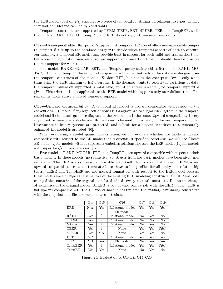the TER model is the model of the position of the support of the constraints on a constraint types, which is the constraints of the constraints of the constraints of the constraints of the constraints of the constraints of snapshot and lifetime cardinality constraints

Temporal constraints are supported by TERM TEER ERT STEER TER and TempEER while the models RAKE MOTAR TempRT and EER do not support temporal constraints

C12—User-specifiable Temporal Support A temporal ER model offers user-specifiable temporal support if it is up to the database designer to decide which temporal aspects of data to capture For example a temporal ER model may provide builtin support for both valid and transaction time but a specific application may only require support for transaction time. It should then be possible to omit support for valid time

The models RAKE MOTAR ERT and TempRT partly satisfy this criterion In RAKE MO tarii tarixi support is valid time temporal support is valid timely if the database designer uses the database the temporal constructs of the models So does TER but not at the conceptual levelonly when translating the TER diagram to ER diagrams If the designer wants to record the variations of data the temporal dimension supported is valid time and if no access is wanted no temporal support is given. This criterion is not applicable to the EER model which supports only user-defined-time. The remaining models have enforced temporal support

 $C13$ —Upward Compatibility A temporal ER model is upward compatible with respect to the conventional ER model if any legal conventional ER diagram is also a legal ER diagram in the temporal model and if the meanings of the diagram in the two models is the same. Upward compatibility is very important because it enables legacy ER diagrams to be used immediately in the new temporal model Investments in legacy systems are protected and a basis for a smooth transition to a temporally enhanced ER model is provided [30].

when evaluating a model against this criterion, we will evaluate when model is upward to model is upwarded to compatible with respect to the ER model that it extends it epitherwise species it is that it is a contract to ER model for models without superclasssubclass relationships and the EER model - for models with superclass/subclass relationships.

Five modelsRAKE MOTAR ERT and TempRTare upward compatible with respect to their basic models In these models no syntactical constructs from the basic models have been given new semantics. The EER is also upward compatible with itself; this holds trivially true. TERM is not upward compatible since its existence attributes have to be specified for all entity and relationship types TEER and TempEER are not upward compatible with respect to the EER model because these models have changed the semantics of the existing EER modeling constructs. STEER has both changed the semantics of the original model and added new syntactical constructs Due to the change of semantics of the original model STEER is not upward compatible with the EER model TER is not upward compatible with the ER model since it has replaced the ordinary cardinality constraints with the snapshot and lifetime cardinality constraints.

|              | C14  | C <sub>15</sub> | C16              | C17  | C18        | C19  |
|--------------|------|-----------------|------------------|------|------------|------|
| ERR.         | N.A. | Yes             | Relational model | Yes  | Yes        | Yes. |
|              |      |                 | ER model         |      |            |      |
| <b>RAKE</b>  | Yes. | ?               | Relational model | No   | Yes        | No   |
| <b>TERM</b>  | Yes. | ?               | Relational model | No   | No         | No   |
| MOTAR        | Yes. | ?               | Relational model | No   | Yes        | No   |
| <b>TEER</b>  | Yes. | 7               | None             | Yes. | Yes        | Yes) |
| <b>STEER</b> | Yes  | N.A.            | None             | Yes  | <b>Yes</b> | No   |
| ERT          | N.A  | 7               | Relational model | Yes  | Yes        | Yes. |
| TER.         | N.A  | Yes.            | ER model         | No   | Yes        | Yes. |
| TempEER      | Yes. | ?               | Relational model | Yes. | $\rm Yes$  | Yes) |
| TempRT       | Yes. | Yes             | None             | No   | Yes        | No   |

 $\mathbf{F}$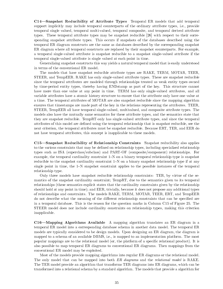C14—Snapshot Reducibility of Attribute Types Temporal ER models that add temporal support implicitly may include temporal counterparts of the ordinary attribute types ie provide temporal single valued temporal multivalued temporal composite and temporal derived attribute types. These temporal attribute types may be snapshot reducible  $[26]$  with respect to their corresponding snapshot attribute types. This occurs if snapshots of the databases described using the temporal ER diagram constructs are the same as databases described by the corresponding snapshot ER diagram where all temporal constructs are replaced by their snapshot counterparts. For example, a temporal single-valued attribute is snapshot reducible to a snapshot single-valued attribute if the temporal single valued attribute is single valued at each point in time.

Generalizing snapshot constructs this way yields a natural temporal model that is easily understood in terms of the conventional ER model

The models that have snapshot reducible attribute types are RAKE TERM MOTAR TEER STEER and TempEER RAKE has only singlevalued attribute types These are snapshot reducible since the temporal attributes are modeled through relationships treated as weak entity types owned by timeperiod entity types thereby having ENDstamp aspart of the key This structure cannot have more than one value at any point in time TERM has only singlevalued attributes and all variable attributes have a atomic history structure to ensure that the attribute only have one value at a time. The temporal attributes of MOTAR are also snapshot reducible since the mapping algorithm ensures that timestamps are made part of the key in the relations representing the attributes. TEER, STEER TempEER all have temporal singlevalued multivalued and composite attribute types The models also have the mutually same semantics for these attribute types and the semantics state that they are snapshot reducible TempRT only has singlevalued attribute types and since the temporal attributes of this model are dened using the temporal relationship that is snapshot reducible see the next criterion the temporal attributes must be snapshot reducible Because ERT TER and EER do not have temporal attributes this concept is inapplicable to these models

C15—Snapshot Reducibility of Relationship Constraints Snapshot reducibility also applies to the various constraints that may be dened on relationship types including specialized relationship types such as ISA (superclass/subclass) and PART-OF (composite/component) relationships. For example the temporal cardinality constraint -N on a binary temporal relationship type is snapshot reducible to the snapshot cardinality constraint -N on a binary snapshot relationship type if at any single point in time, the - all the possible instances of possible instances instances to the temporal the tem relationship type

Only three models have snapshot reducible relationship constraints TER by virtue of the se mantics of the snapshot cardinality constraint TempRT due to the semantics given to its temporal relationships (these semantics explicit states that the cardinality constraints given by the relationship showld hold at any point in time  $\mu$  and mostly and the propose and propose any additional types are as of relationships and constraints The models RAKE TERM MOTAR TEER ERT and TempEER do not describe what the meaning of the different relationship constraints that can be specified are in a temporal database This is the reason for the reason for the  $\mathbf{f}_{\mathbf{A}}$ STEER model does nor include cardinality constraints on relationship types making this criterion inapplicable

C Mapping Algorithms Available A mapping algorithm translates an ER diagram in a temporal ER model into a corresponding database schema in another data model. The temporal ER models are typically considered to be design models Upon designing an ER diagram the diagram is mapped to a schema of an available DBMS (and include the most platform The most platform The most control. popular mappings are to the relationship model in the platform of a specifical product product  $\mu$  as as also possible to map temporal ER diagrams to conventional ER diagrams Then mappings from the conventional ER model may be exploited

Most of the models provide mapping algorithms into regular ER diagrams or the relational model The only model that can be mapped into both ER diagrams and the relational model is RAKE. the TER model provide an algorithm that transforms TER diagrams TER diagrams into ER diagrams into ER diagrams transformed into a relational schema by a standard algorithm The models that provide a algorithm for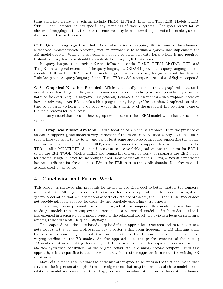translation into a relational schema include TERM MOTAR ERT and TempEER Models TEER STEER and TempRT do not specify any mappings of their diagrams One good reason for an absence of mappings is that the models themselves may be considered implementation models see the discussion of the next criterion

C17—Query Language Provided As an alternative to mapping ER diagrams to the schema of a separate implementation platforming implements the platform is to assume a system that implements that inclu ER model directly. With this approach a mapping to an implementation platform is not required. Instead a query language should be available for querying ER databases

No query languages is provided for the following models RAKE TERM MOTAR TER and TempRT A temporal extension of the query language GORDAS is provided as query language for the models TEER and STEER. The ERT model is provides with a query language called the External rule Language II (1995) language for the TempER model is the Temporal extension of Temperature is proposed to

C18—Graphical Notation Provided While it is usually assumed that a graphical notation is available for describing ER diagrams this needs not be so It is also possible to provide only a textual notation for describing ER diagrams. It is generally believed that ER models with a graphical notation have an advantage over ER models with a programming language-like notation. Graphical notations tend to be easier to learn and we believe that the simplicity of the graphical ER notation is one of the main reasons for its success

The only model that does not have a graphical notation is the TERM model which is the TERM model in the Term model syntax

CGraphical Editor Available If the notation of a model is graphical then the presence of an editor supporting the model is very important if the model is to be used widely Potential users should have the opportunity to try and use at least some prototype of an editor supporting the model

Two models namely TER and ERT come with an editor to support their use The editor for TER is called MODELLER . The editor  $\mathbb{R}$  and the editor for ERT is a commercially available product and the editor for ERT is a commercial called the ERT-TOOL. Models TEER and TempEER can use editors that supports the EER model for schema design but not for mapping to their implementation models Thus a Yes in parentheses has been indicated for these models. Editors for EER exist in the public domain. No other model is accompanied by an editor

#### $\overline{\mathbf{4}}$ Conclusion and Future Work

This paper has surveyed nine proposals for extending the ER model to better capture the temporal as pects of data although the detailed motivation for the development of the departum it is although the develo general observation that while the prevalent aspects of data are previously the ER (1999) previous are no comp not provide adequate support for elegantly and concisely capturing these aspects

The survey has emphasized the common aspect of the temporal ER models namely their use as design models that are employed to capture, model modelpines model, a database design that is implemented in a separate data model typically the relational model This yields a focus on structural as pected than on ER and the part of the period of the period of the contract of the contract of the contract o

The proposed extensions are based on quite different approaches. One approach is to devise new notational shorthands that replace some of the patterns that occur frequently in ER diagrams when temporal aspects are being modeled. One example is the pattern that occurs when modeling a timevarying attribute in the ER model Another approach is to change the semantics of the existing ER model constructs making them temporal In its extreme form this approach does not result in any new syntactical constructs—all the original constructs have simply become temporal. With this approach it is also possible to add new constructs Yet another approach is to retain the existing ER constructs

Many of the models assume that their schemas are mapped to schemas in the relational model that serves as the implementation platform. The algorithms that map the schemas of these models to the relational model are constructed to add appropriate time-valued attributes to the relation schemas.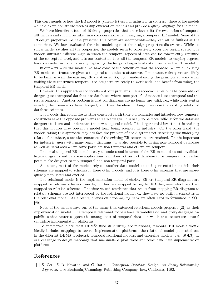this corresponding the ER model is the model in industry  $\mu$  and the models  $\mu$  and three of the models in the models we have examined are themselves implementation models and provide a query language for the model

We have identies a total of - design properties that are relevant for the evaluation of temporal ER models and should be taken into consideration when designing a temporal ER model. None of the - design properties we have presented this paper are incompatiblethey can all be fullled at the same time. We have evaluated the nine models against the design properties discovered. While no single model satises all the properties the models seem to collectively cover the design space The models illustrate different ways in which the temporal aspects of data can be conveniently captured at the conceptual level level level is our contention that all the temporal ER models in the temporal ER model have succeeded in more naturally capturing the temporal aspects of data than does the ER model.

In our work with the models we have come to the conclusion that the approach where all existing ER model constructs are given a temporal semantics is attractive. The database designers are likely to be familiar with the existing ER constructs Society Society Society Society Society Society at work when  $\mathcal{U}(\mathbf{x})$ making these constructs temporal the designers are ready to work with and benet from using the temporal ER model

However this approach is not totally without problems This approach rules out the possibility of designing non-temporal databases or databases where some part of a database is non-temporal and the rest is temporal Another problem is that old diagrams are no longer are valid ie while their syntax is valid their semantics have changed and they therefore no longer describe the existing relational database schemas

The models that retain the existing constructs with their old semantics and introduce new temporal constructs have the opposite problems and advantages. It is likely to be more difficult for the database designers to learn and understand the new temporal model. The larger initial investment in training that the this induces may prevent a model from being  $\mathbf{f}$  induces  $\mathbf{f}$  induces  $\mathbf{f}$  induces  $\mathbf{f}$ models taking this approach may not face the problem of the diagrams not describing the underlying relational database since the semantics of the existing ER constructs are retained This is important for industrial users with many legacy diagrams it is also possible to design nontemporal databases as well as databases where some parts are nontemporal and others are temporal

The ideal temporal ER model is easy to understand in terms of the ER model; does not invalidate legacy diagrams and database applications and does not restrict database to be temporal but rather permits the designer to mix temporal and non-temporal parts.

As stated in the models relation  $\mathcal M$  . The model as another data model as an implementation model their model their model their model their model their model their model their model their model their model their model schemas are mapped to schemas in these other models and it is these other schemas that are subse quently populated and queried

The relational model is the implementation model of choice Either temporal ER diagrams are mapped to relation schemas directly or they are mapped to regular ER diagrams which are then mapped to relation schemas. The time-valued attributes that result from mapping ER diagrams to relation schemas are not interpreted by the relational model ie they have no builtin semantics in  $t = t$  relational model as results on timevarying data are often hard to formulate in  $\mathcal{L}_\mathbf{t}$  $\left[29\right]$ .

None of the models have one of the many time-extended relational models proposed  $|27|$  as their implementation model. The temporal relational models have data-definition and query-language capabilities that better support the management of temporal data and would thus constitute natural candidate implementation platforms

To summarize since most DBMSs used in industry are relational temporal ER models should ideally includes mappings to several implementation platforms: the relational model (as fleshed out in the dierent DBMS products and emerging models are products and emerging models and emerging models are products is a challenge to design mappings that maximally exploit these and other candidate implementation platforms

### References

, s card core and conceptual database Design And Conceptual Database Design Annual Database Design Annual Database D  $\mathcal{L}_{\mathcal{P}}$  , and  $\mathcal{L}_{\mathcal{P}}$  and  $\mathcal{L}_{\mathcal{P}}$  are companing  $\mathcal{L}_{\mathcal{P}}$  . The company of the company of the company of the company of the company of the company of the company of the company of the company of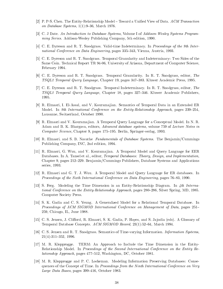- [2] P. P.S. Chen. The Entity-Relationship Model Toward a Unified View of Data. ACM Transaction on Database Systems and the Contract of the Contract of the Contract of the Contract of the Contract of the Co
- ist at a most more announced to Database Systems I common a second it also a share of the Addison Program Prog ming series additional minimum parameters are the company of the company and series of
- [4] C. E. Dyreson and R. T. Snodgrass. Valid-time Indeterminacy. In *Proceedings of the 9th Inter*national Conference on Data Engineering Conference on Data Engineering Conference on Data Engineering Conference
- [5] C. E. Dyreson and R. T. Snodgrass. Temporal Granularity and Indeterminacy: Two Sides of the same Coince Technical Report Trees of Arizonal Report Trees and Computer Science Science Science February -
- , and the source are and the Second Company In Research In Research In Research In Research In Research In Research In Research In Research In Research In Research In Research In Research In Research In Research In Researc TSQL TEMPORAL QUERY LANGUAGE ACADEMIC PROPERTY AND THE CHAPTER OF THE CHAPTER OF THE CHAPTER OF THE CHAPTER OF
- C E Dyreson and R T Snodgrass Temporal Indeterminacy In R T Snodgrass editor The ts de la componal de la chapter de la pages de la componente de la componente de la componente de la component
- R Elmasri I ElAssal and V Kourama jian Semantics of Temporal Data in an Extended ER Model In th International Conference on the EntityRelationship Approach pages Lausanne Switzerland October -
- [9] R. Elmasri and V. Kourama jian. A Temporal Query Language for a Conceptual Model. In N. R. administration and Bahrey States in Advanced database systems in States in Berline and the United States in Computer Science Chapter pages -- Berlin Springerverlag -
- R Elmasri and S B Navathe Fundamentals of Database Systems The BenjaminCummings en en die volgens die volgens die volgens die volgens die volgens die volgens die volgens die volgens die volg
- , and and we are the state of the state of the Courant and A Temporal Model and  $\eta_i$  and  $\eta_i$  and  $\eta_i$  and  $\eta_i$ , and in a temporal of a theory-theory-theory-theory-theory-theory-theory-theory-theory-theory-theory-theorychapter is pages for the systems of continuings for the systems of the complete systems of productions of the systems of the systems of the systems of the systems of the systems of the systems of the systems of the systems series -
- R Elmasri and G T J Wuu A Temporal Model and Query Language for ER databases In Proceedings of the Sixth International Conference on Data Engineering pages -
- - S Ferg Modeling the Time Dimension in an EntityRelationship Diagram In th Interna tional Conference on the Entity Sectionship Approach, pages Eis Eis, CAS-22 pages of the Approach Conference i Computer Society Press
- S K Gadia and C S Yeung A Generalized Model for a Relational Temporal Database In Proceedings of ACM SIGMOD International Conference on Management of Data pages chicago in the contract of the contract of the contract of the contract of the contract of the contract of the
- , and construction of the state of the state of the state of the state of the state of the state of the state of the state of the state of the state of the state of the state of the state of the state of the state of the s  $\blacksquare$  . The concepts  $\blacksquare$  . The concepts  $\blacksquare$  such that  $\blacksquare$  . The concepts  $\blacksquare$  . The concepts  $\blacksquare$
- C S Jensen and R T Snodgrass Semantics of Timevarying Information Information Systems  $\blacksquare$  . The set of the set of the set of the set of the set of the set of the set of the set of the set of the set of the set of the set of the set of the set of the set of the set of the set of the set of the set of the
- $[17]$  M. R. Klopprogge. TERM: An Approach to Include the Time Dimension in the Entity-Relationship Model. In Proceedings of the Second International Conference on the Entity Relationship Approach pages - Washington DC October --
- M R Klopprogge and P C Lockeman Modeling Information Preserving Databases Conse quences of the Concept of Time. In Proceedings from the Ninth International Conference on Very Large Data Bases pages - October -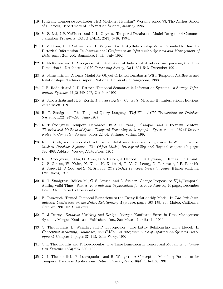- , and the activities in the American Modeller Modeller Modeller is activities in the Aarhus School and the American of Business Department of Information Science January -
- val and India and J Laissen and J Lais Model Databases Indianal Databases Model Databases Model Design and Commercial cialization Prospects DATA BASE  
- -
- , and B Seltveit and B Wangler And B Wangler And B Wangler And B Wangler And Described to Described to Describe Historical Information In International Conference on Information Systems and Management of data pages in the pages of the pages of the pages of the pages of the pages of the pages of the pages of the p
- E McKenzie and R Snodgrass An Evaluation of Relational Algebras Incorporating the Time Dimension in Databases ACM Computing Survey 
- December --
- [23] A. Narasimhalu. A Data Model for Object-Oriented Databases With Temporal Attributes and Relationships Technical report National University of Singapore -
- [24] J. F. Roddick and J. D. Patrick. Temporal Semantics in Information Systems  $-$  a Survey. *Infor*mation Systems - October -
- [25] A. Silberschatz and H. F. Korth. Database System Concepts. McGraw-Hill International Editions, nd edition of the control of the control of the control of the control of the control of the control of the co
- [26] R. T. Snodgrass. The Temporal Query Language TQUEL. ACM Transaction on Database Systems - June -
- r Temporal Databases In A U Franklin and U Franklin and U Franklin and U Franklin and U Franklin and U Forman The Methods of Spatio $T$  Spatio $T$  Spatio $T$  in Geographic Space  $\mathcal{S}$  and Lecture Space  $\mathcal{S}$ notes in Computer Science Science Science Science Science Science Science Science Science Science Science Science
- r temporal observation ob distribution in the comparison and the comparison in the comparison in the comparison modern Database Systems The Object Model-Berner printing and Beyond Arthur Serges and Beyond addison western and the pressure of the pressure of the set of the set of the set of the set of the set of the
- r and a strong and a strong and a strong and a strong and a strong and a strong and a strong and a strong and e S Jensen (Maria 1999) (National 1999) (National 1999) (National 1999) (National 1999) (National 1999) (National 1999) (National 1999) (National 1999) (National 1999) (National 1999) (National 1999) (National 1999) (Natio A Segev M D Soo and S M Sripada The TSQL Temporal Query language Kluwer academic Publishers -
- r sandgrass and a steiner change and a steiner change and a steiner change and a steiner change proposal to so adding valid Times A International Organization for Standardization for Standardization for Standardization of - ANSI Experts Contribution
- - B Tauzovich Toward Temporal Extensions to the EntityRelationship Model In The th Inter on the Entity Relationship Approach and Entity Relationship Approach and Approach and Approach and Approach an october - Andrea - Andrea - Andrea - Andrea - Andrea - Andrea - Andrea - Andrea - Andrea - Andrea - Andrea - A
- [32] T. J Teorey. *Database Modeling and Design*. Morgan Kaufmann Series in Data Management systems morgan communications in an and the communication of the contractions of the contractions of the contract of
- C Theodoulidis B Wangler and P Loucopoulos The Entity Relationship Time Model In Conceptual Model ling- Databases- and CASE An Integrated View of Information Systems Devel opment - Chapter - Chapter - Chapter - Chapter - Chapter - Chapter - Chapter - Chapter - Chapter - Chapter - C
- [34] C. I. Theodoulidis and P. Loucopoulos. The Time Dimension in Conceptual Modelling. Information Systems - 
 --
- C I Theodoulidis P Loucopoulos and B Wangler A Conceptual Modelling Formalism for temporal Database Applications Informations Informations Informations Informations Information Systems Informations Informations Informations Informations Informations Informations Informations Informations Informations In